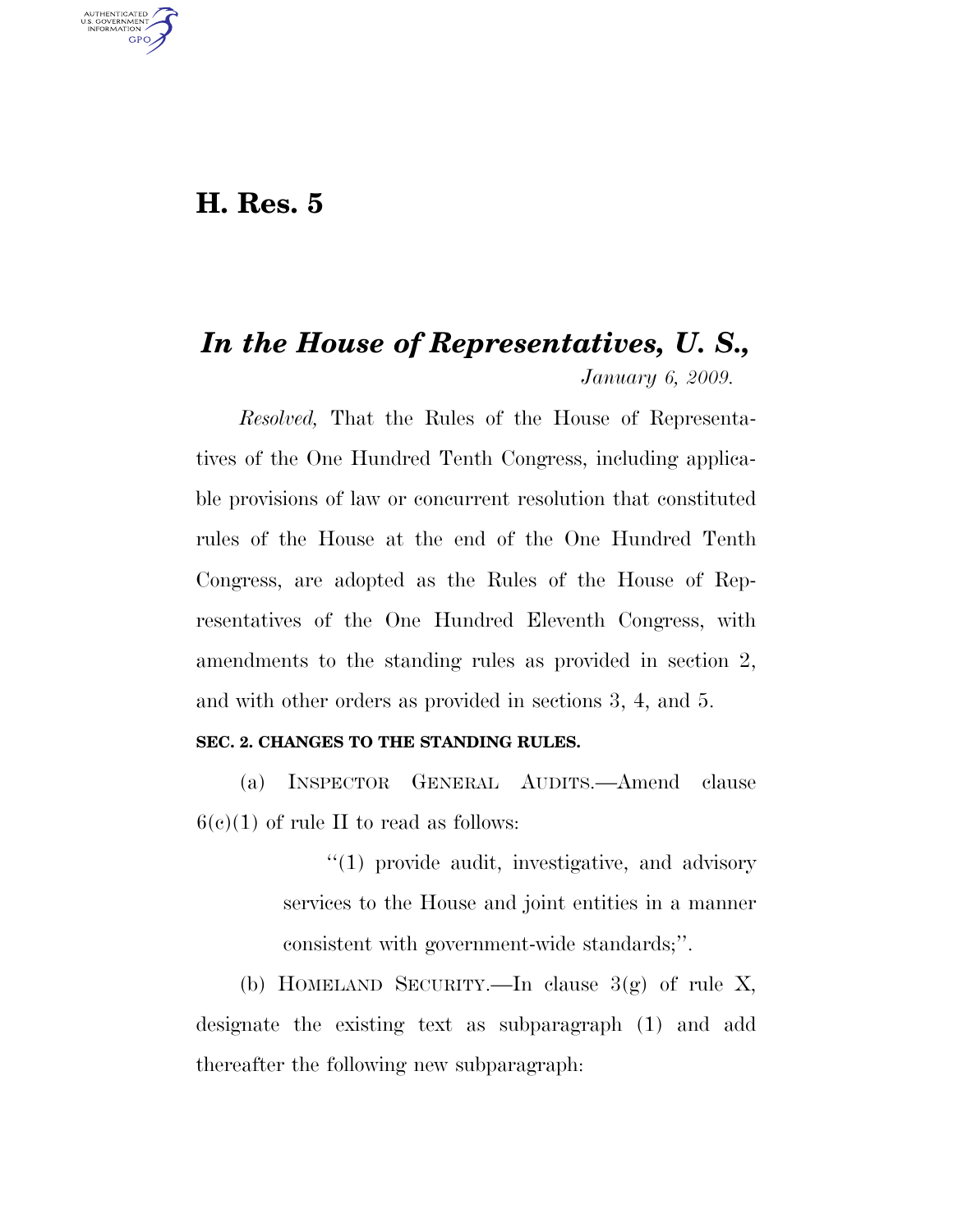## **H. Res. 5**

U.S. GOVERNMENT **GPO** 

# *In the House of Representatives, U. S., January 6, 2009.*

*Resolved,* That the Rules of the House of Representatives of the One Hundred Tenth Congress, including applicable provisions of law or concurrent resolution that constituted rules of the House at the end of the One Hundred Tenth Congress, are adopted as the Rules of the House of Representatives of the One Hundred Eleventh Congress, with amendments to the standing rules as provided in section 2, and with other orders as provided in sections 3, 4, and 5.

#### **SEC. 2. CHANGES TO THE STANDING RULES.**

(a) INSPECTOR GENERAL AUDITS.—Amend clause  $6(c)(1)$  of rule II to read as follows:

> ''(1) provide audit, investigative, and advisory services to the House and joint entities in a manner consistent with government-wide standards;''.

(b) HOMELAND SECURITY.—In clause  $3(g)$  of rule X, designate the existing text as subparagraph (1) and add thereafter the following new subparagraph: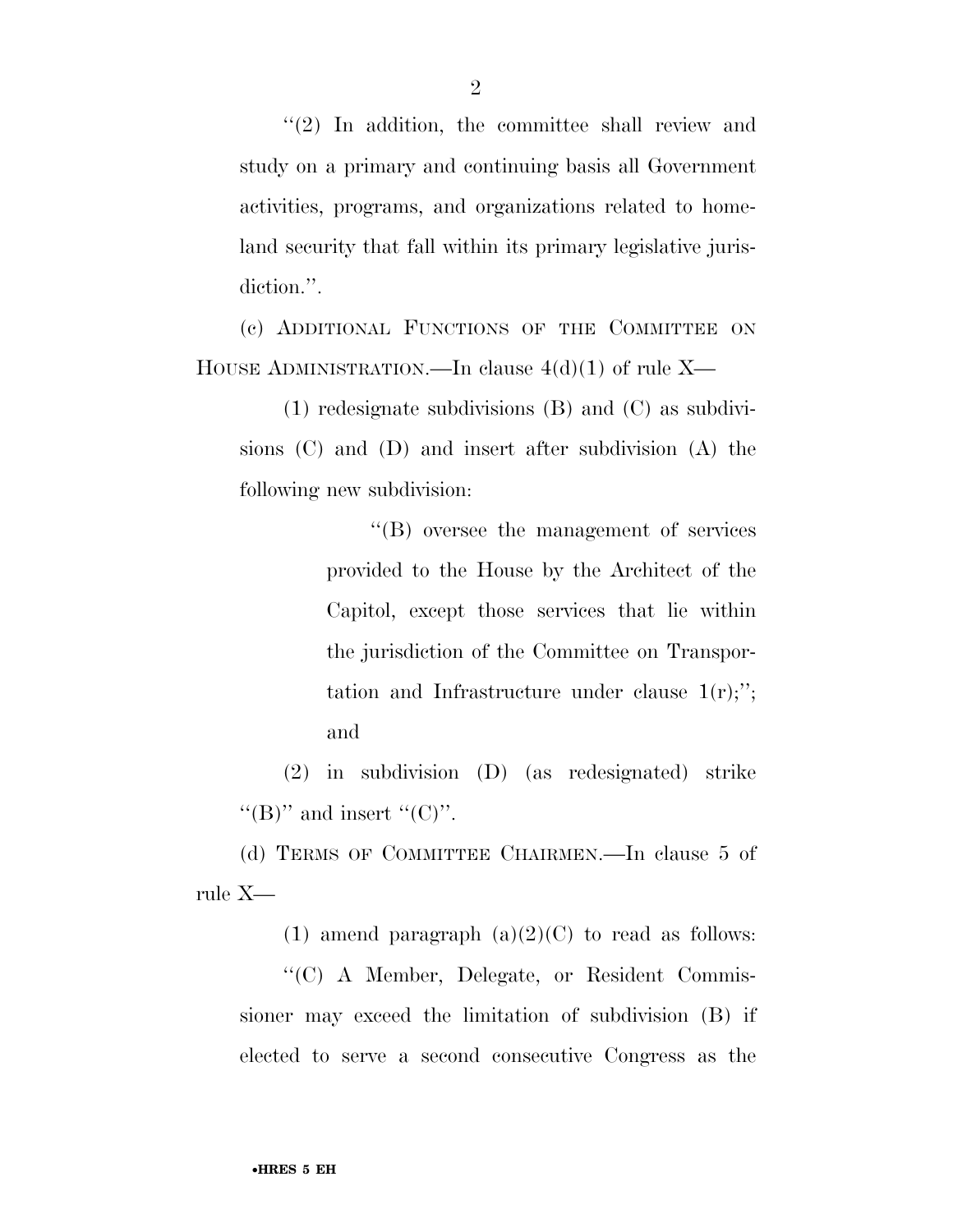''(2) In addition, the committee shall review and study on a primary and continuing basis all Government activities, programs, and organizations related to homeland security that fall within its primary legislative jurisdiction.".

(c) ADDITIONAL FUNCTIONS OF THE COMMITTEE ON HOUSE ADMINISTRATION.—In clause  $4(d)(1)$  of rule X—

(1) redesignate subdivisions (B) and (C) as subdivisions (C) and (D) and insert after subdivision (A) the following new subdivision:

> ''(B) oversee the management of services provided to the House by the Architect of the Capitol, except those services that lie within the jurisdiction of the Committee on Transportation and Infrastructure under clause  $1(r)$ ;"; and

(2) in subdivision (D) (as redesignated) strike " $(B)$ " and insert " $(C)$ ".

(d) TERMS OF COMMITTEE CHAIRMEN.—In clause 5 of rule X—

(1) amend paragraph  $(a)(2)(C)$  to read as follows:

''(C) A Member, Delegate, or Resident Commissioner may exceed the limitation of subdivision (B) if elected to serve a second consecutive Congress as the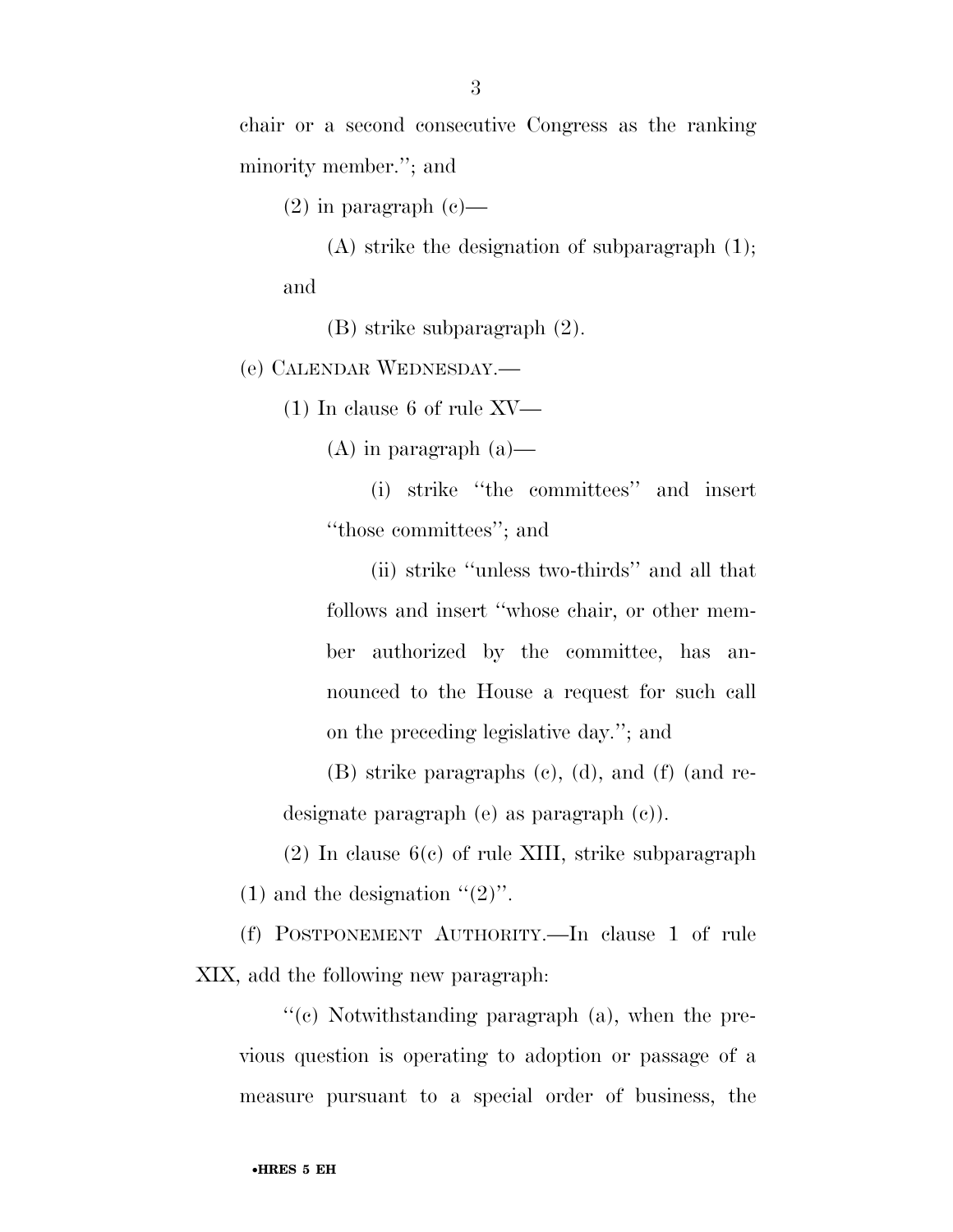chair or a second consecutive Congress as the ranking minority member.''; and

 $(2)$  in paragraph  $(e)$ —

(A) strike the designation of subparagraph (1); and

(B) strike subparagraph (2).

(e) CALENDAR WEDNESDAY.—

(1) In clause 6 of rule XV—

 $(A)$  in paragraph  $(a)$ —

(i) strike ''the committees'' and insert ''those committees''; and

(ii) strike ''unless two-thirds'' and all that follows and insert ''whose chair, or other member authorized by the committee, has announced to the House a request for such call on the preceding legislative day.''; and

(B) strike paragraphs (c), (d), and (f) (and redesignate paragraph (e) as paragraph (c)).

(2) In clause 6(c) of rule XIII, strike subparagraph (1) and the designation  $\cdot\cdot(2)$ ".

(f) POSTPONEMENT AUTHORITY.—In clause 1 of rule XIX, add the following new paragraph:

''(c) Notwithstanding paragraph (a), when the previous question is operating to adoption or passage of a measure pursuant to a special order of business, the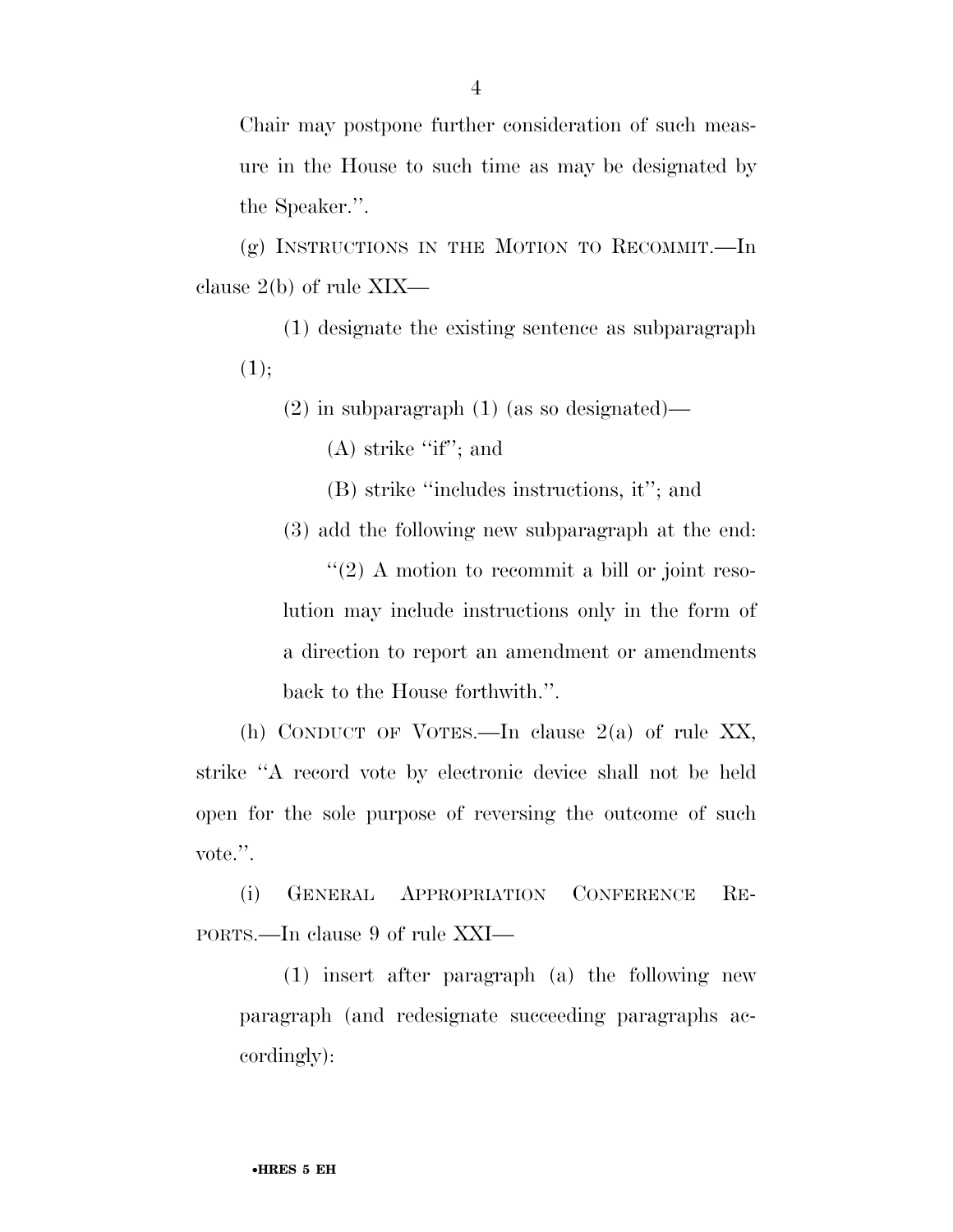Chair may postpone further consideration of such measure in the House to such time as may be designated by the Speaker.''.

(g) INSTRUCTIONS IN THE MOTION TO RECOMMIT.—In clause 2(b) of rule XIX—

(1) designate the existing sentence as subparagraph  $(1);$ 

 $(2)$  in subparagraph  $(1)$  (as so designated)—

(A) strike ''if''; and

(B) strike ''includes instructions, it''; and

(3) add the following new subparagraph at the end:

 $\cdot$  (2) A motion to recommit a bill or joint resolution may include instructions only in the form of a direction to report an amendment or amendments back to the House forthwith.''.

(h) CONDUCT OF VOTES.—In clause 2(a) of rule XX, strike ''A record vote by electronic device shall not be held open for the sole purpose of reversing the outcome of such vote.''.

(i) GENERAL APPROPRIATION CONFERENCE RE-PORTS.—In clause 9 of rule XXI—

(1) insert after paragraph (a) the following new paragraph (and redesignate succeeding paragraphs accordingly):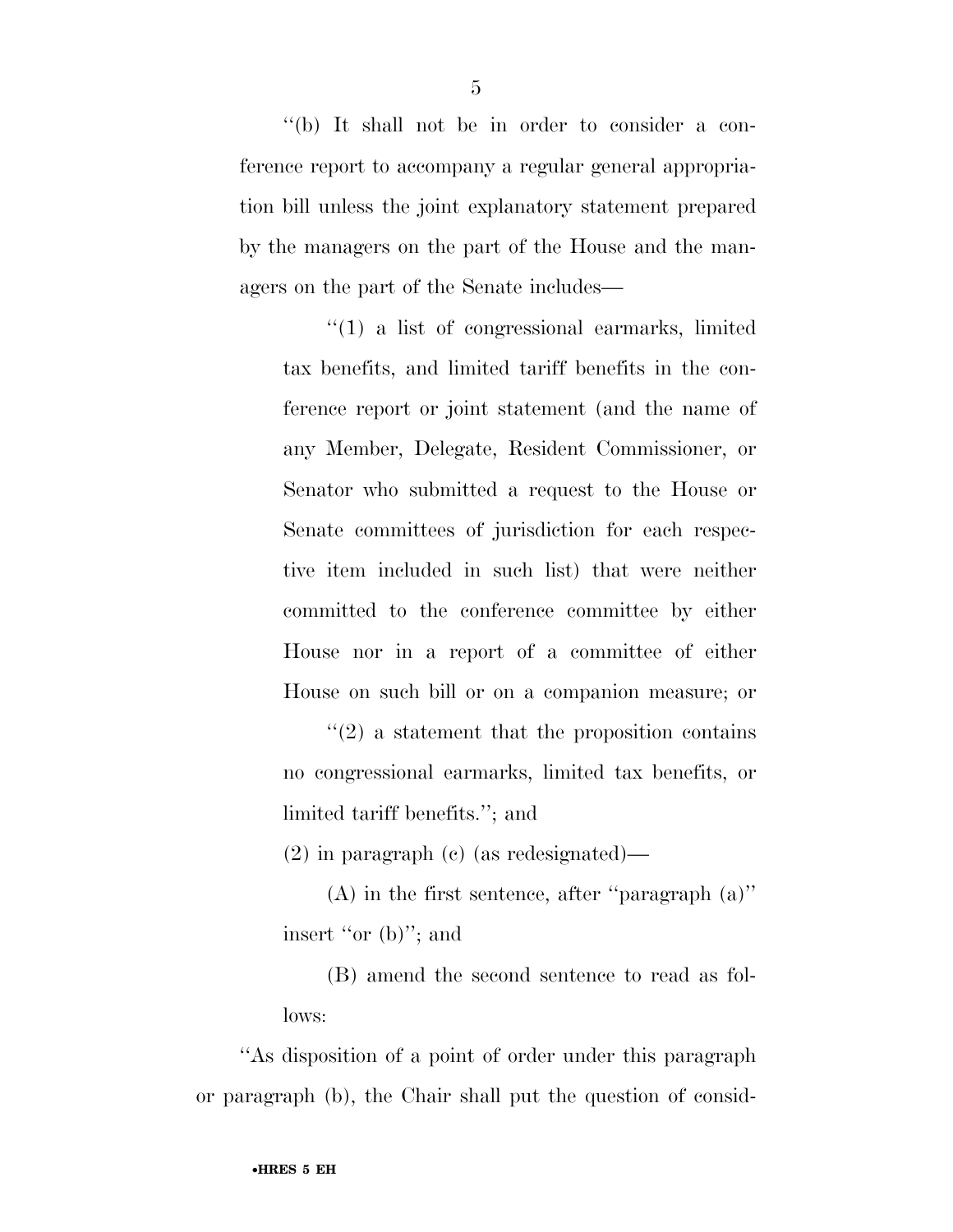''(b) It shall not be in order to consider a conference report to accompany a regular general appropriation bill unless the joint explanatory statement prepared by the managers on the part of the House and the managers on the part of the Senate includes—

''(1) a list of congressional earmarks, limited tax benefits, and limited tariff benefits in the conference report or joint statement (and the name of any Member, Delegate, Resident Commissioner, or Senator who submitted a request to the House or Senate committees of jurisdiction for each respective item included in such list) that were neither committed to the conference committee by either House nor in a report of a committee of either House on such bill or on a companion measure; or

''(2) a statement that the proposition contains no congressional earmarks, limited tax benefits, or limited tariff benefits.''; and

(2) in paragraph (c) (as redesignated)—

(A) in the first sentence, after ''paragraph (a)'' insert "or (b)"; and

(B) amend the second sentence to read as follows:

''As disposition of a point of order under this paragraph or paragraph (b), the Chair shall put the question of consid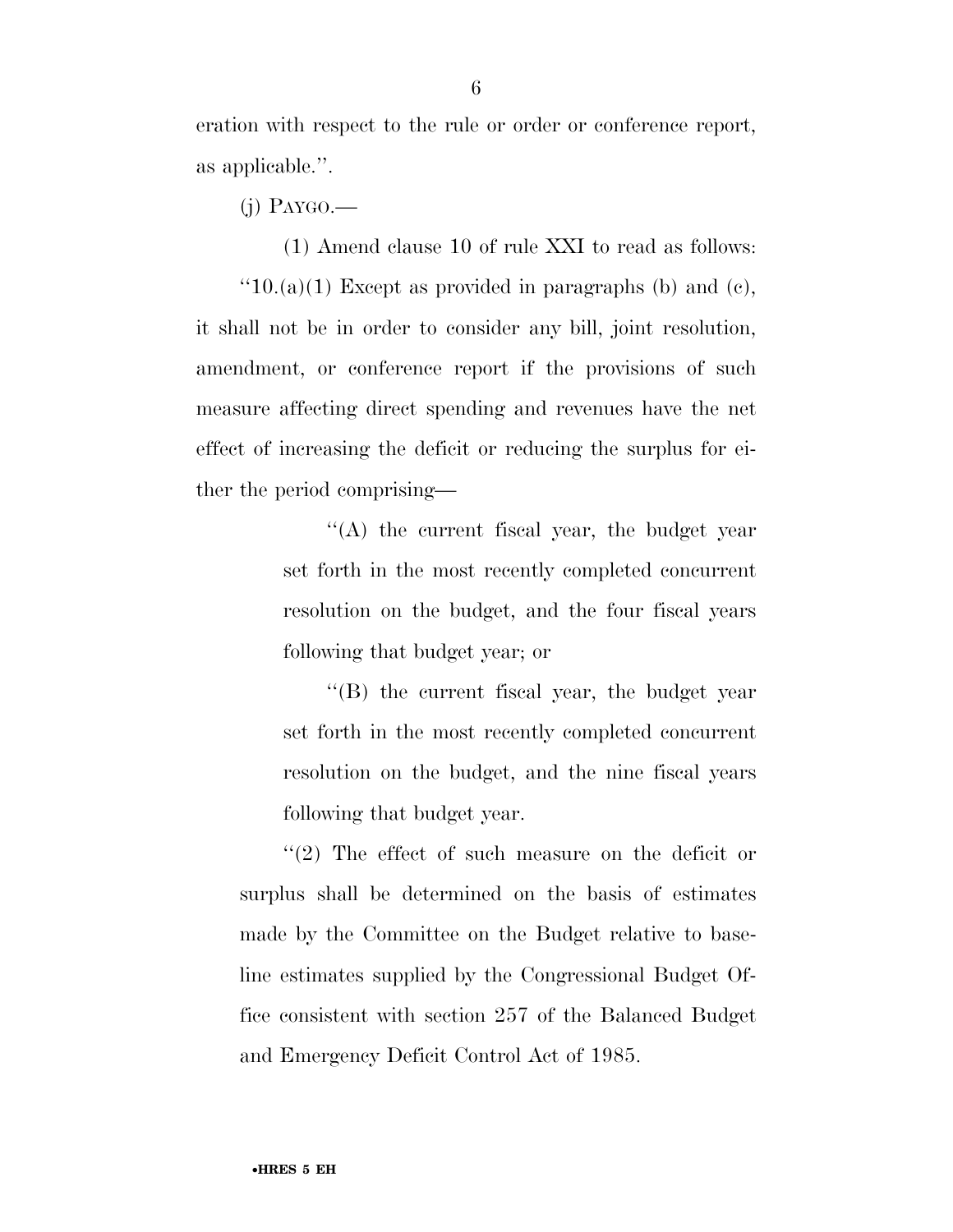eration with respect to the rule or order or conference report, as applicable.''.

(j) PAYGO.—

(1) Amend clause 10 of rule XXI to read as follows:  $"10.(a)(1)$  Except as provided in paragraphs (b) and (c), it shall not be in order to consider any bill, joint resolution, amendment, or conference report if the provisions of such measure affecting direct spending and revenues have the net effect of increasing the deficit or reducing the surplus for either the period comprising—

> ''(A) the current fiscal year, the budget year set forth in the most recently completed concurrent resolution on the budget, and the four fiscal years following that budget year; or

> ''(B) the current fiscal year, the budget year set forth in the most recently completed concurrent resolution on the budget, and the nine fiscal years following that budget year.

''(2) The effect of such measure on the deficit or surplus shall be determined on the basis of estimates made by the Committee on the Budget relative to baseline estimates supplied by the Congressional Budget Office consistent with section 257 of the Balanced Budget and Emergency Deficit Control Act of 1985.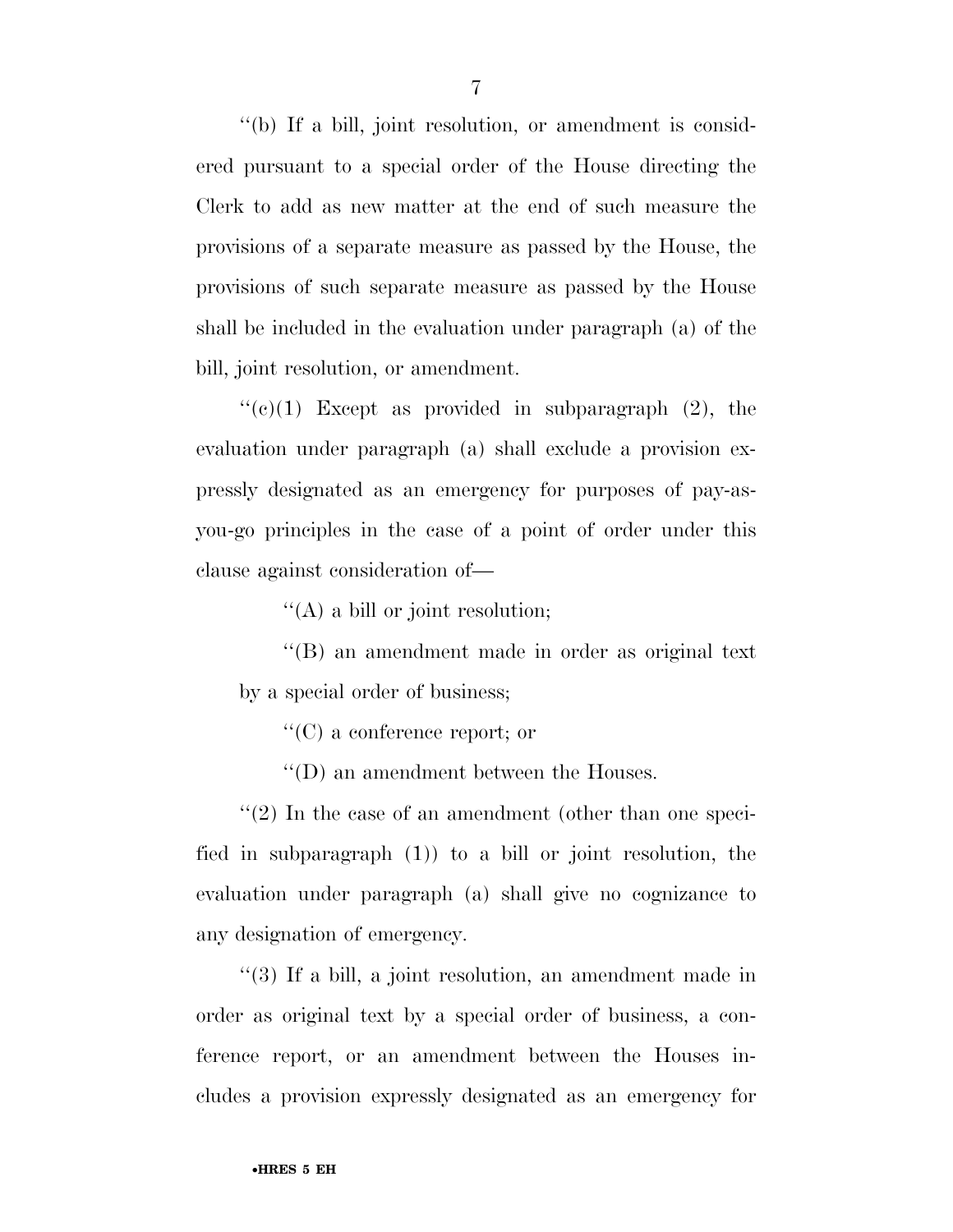''(b) If a bill, joint resolution, or amendment is considered pursuant to a special order of the House directing the Clerk to add as new matter at the end of such measure the provisions of a separate measure as passed by the House, the provisions of such separate measure as passed by the House shall be included in the evaluation under paragraph (a) of the bill, joint resolution, or amendment.

 $\lq\lq$ (c)(1) Except as provided in subparagraph (2), the evaluation under paragraph (a) shall exclude a provision expressly designated as an emergency for purposes of pay-asyou-go principles in the case of a point of order under this clause against consideration of—

''(A) a bill or joint resolution;

''(B) an amendment made in order as original text by a special order of business;

''(C) a conference report; or

''(D) an amendment between the Houses.

''(2) In the case of an amendment (other than one specified in subparagraph (1)) to a bill or joint resolution, the evaluation under paragraph (a) shall give no cognizance to any designation of emergency.

''(3) If a bill, a joint resolution, an amendment made in order as original text by a special order of business, a conference report, or an amendment between the Houses includes a provision expressly designated as an emergency for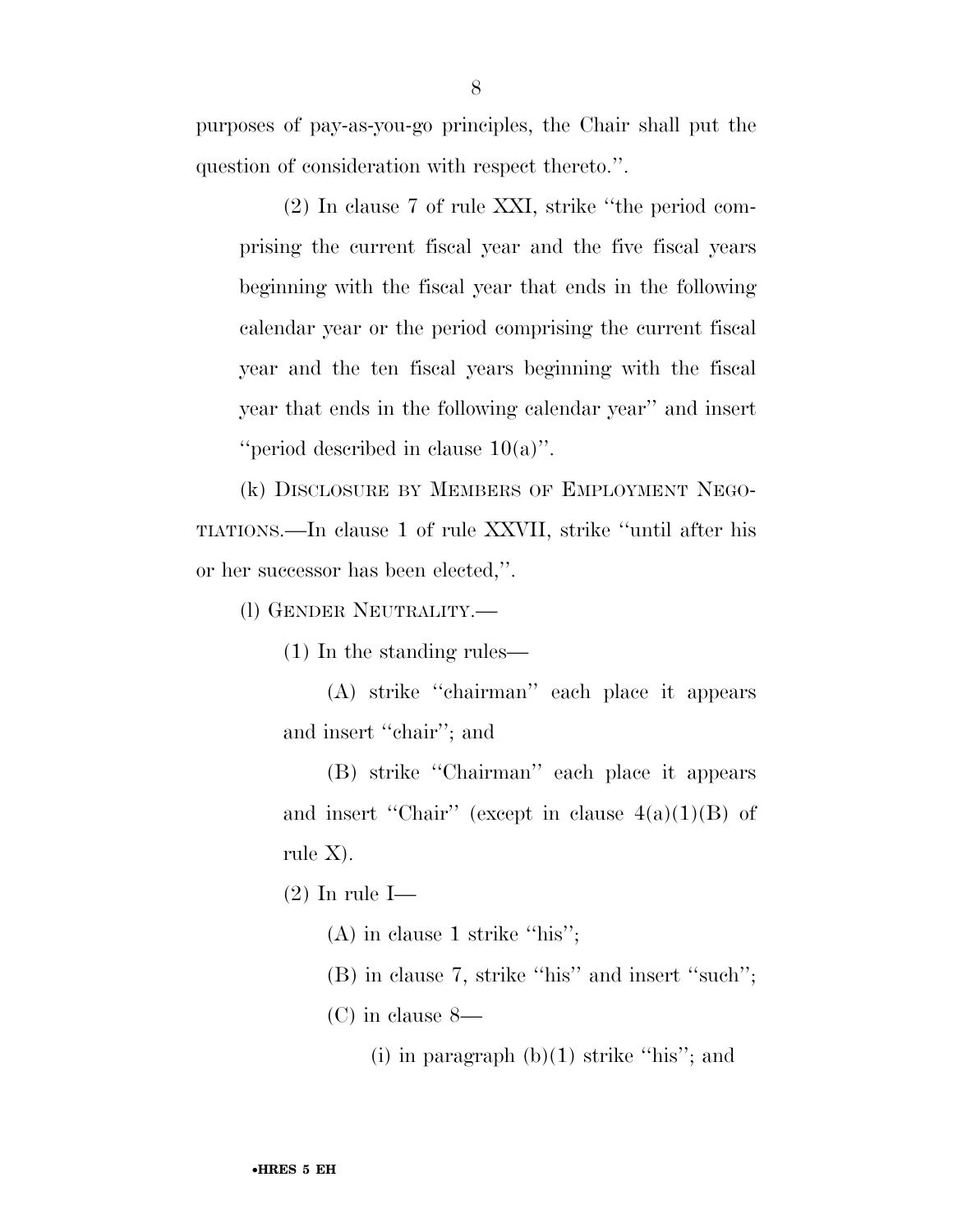purposes of pay-as-you-go principles, the Chair shall put the question of consideration with respect thereto.''.

(2) In clause 7 of rule XXI, strike ''the period comprising the current fiscal year and the five fiscal years beginning with the fiscal year that ends in the following calendar year or the period comprising the current fiscal year and the ten fiscal years beginning with the fiscal year that ends in the following calendar year'' and insert ''period described in clause 10(a)''.

(k) DISCLOSURE BY MEMBERS OF EMPLOYMENT NEGO-TIATIONS.—In clause 1 of rule XXVII, strike ''until after his or her successor has been elected,''.

(l) GENDER NEUTRALITY.—

(1) In the standing rules—

(A) strike ''chairman'' each place it appears and insert ''chair''; and

(B) strike ''Chairman'' each place it appears and insert "Chair" (except in clause  $4(a)(1)(B)$  of rule X).

(2) In rule I—

(A) in clause 1 strike "his";

- (B) in clause 7, strike ''his'' and insert ''such'';
- (C) in clause 8—
	- (i) in paragraph  $(b)(1)$  strike "his"; and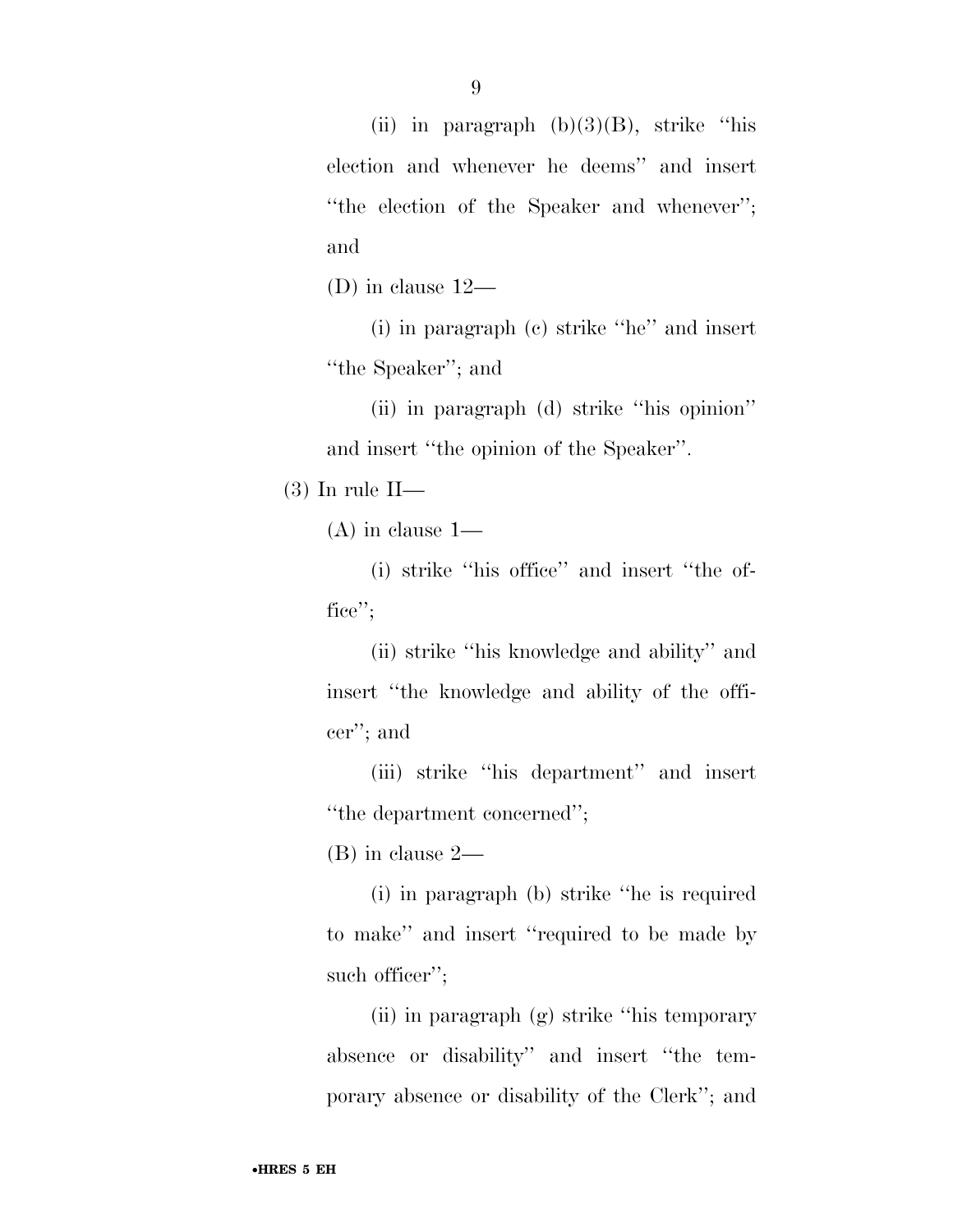(ii) in paragraph  $(b)(3)(B)$ , strike "his election and whenever he deems'' and insert ''the election of the Speaker and whenever''; and

(D) in clause 12—

(i) in paragraph (c) strike ''he'' and insert ''the Speaker''; and

(ii) in paragraph (d) strike ''his opinion'' and insert ''the opinion of the Speaker''.

(3) In rule II—

(A) in clause 1—

(i) strike ''his office'' and insert ''the office'';

(ii) strike ''his knowledge and ability'' and insert ''the knowledge and ability of the officer''; and

(iii) strike ''his department'' and insert ''the department concerned'';

(B) in clause 2—

(i) in paragraph (b) strike ''he is required to make'' and insert ''required to be made by such officer";

(ii) in paragraph (g) strike ''his temporary absence or disability'' and insert ''the temporary absence or disability of the Clerk''; and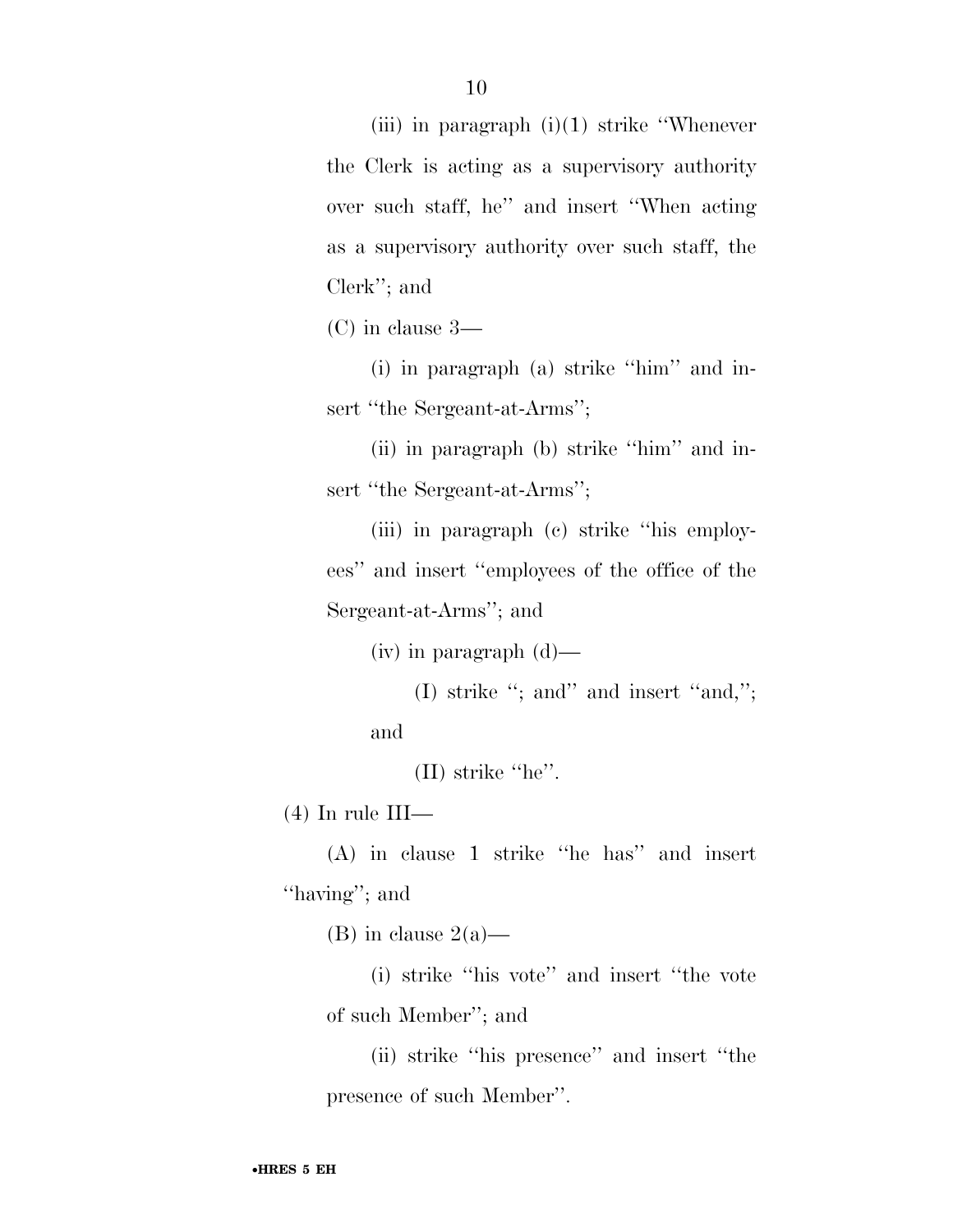(iii) in paragraph  $(i)(1)$  strike "Whenever" the Clerk is acting as a supervisory authority over such staff, he'' and insert ''When acting as a supervisory authority over such staff, the Clerk''; and

(C) in clause 3—

(i) in paragraph (a) strike ''him'' and insert "the Sergeant-at-Arms";

(ii) in paragraph (b) strike ''him'' and insert "the Sergeant-at-Arms";

(iii) in paragraph (c) strike ''his employees'' and insert ''employees of the office of the Sergeant-at-Arms''; and

 $(iv)$  in paragraph  $(d)$ —

(I) strike ''; and'' and insert ''and,''; and

(II) strike ''he''.

 $(4)$  In rule III—

(A) in clause 1 strike ''he has'' and insert ''having''; and

(B) in clause  $2(a)$ —

(i) strike ''his vote'' and insert ''the vote of such Member''; and

(ii) strike ''his presence'' and insert ''the presence of such Member''.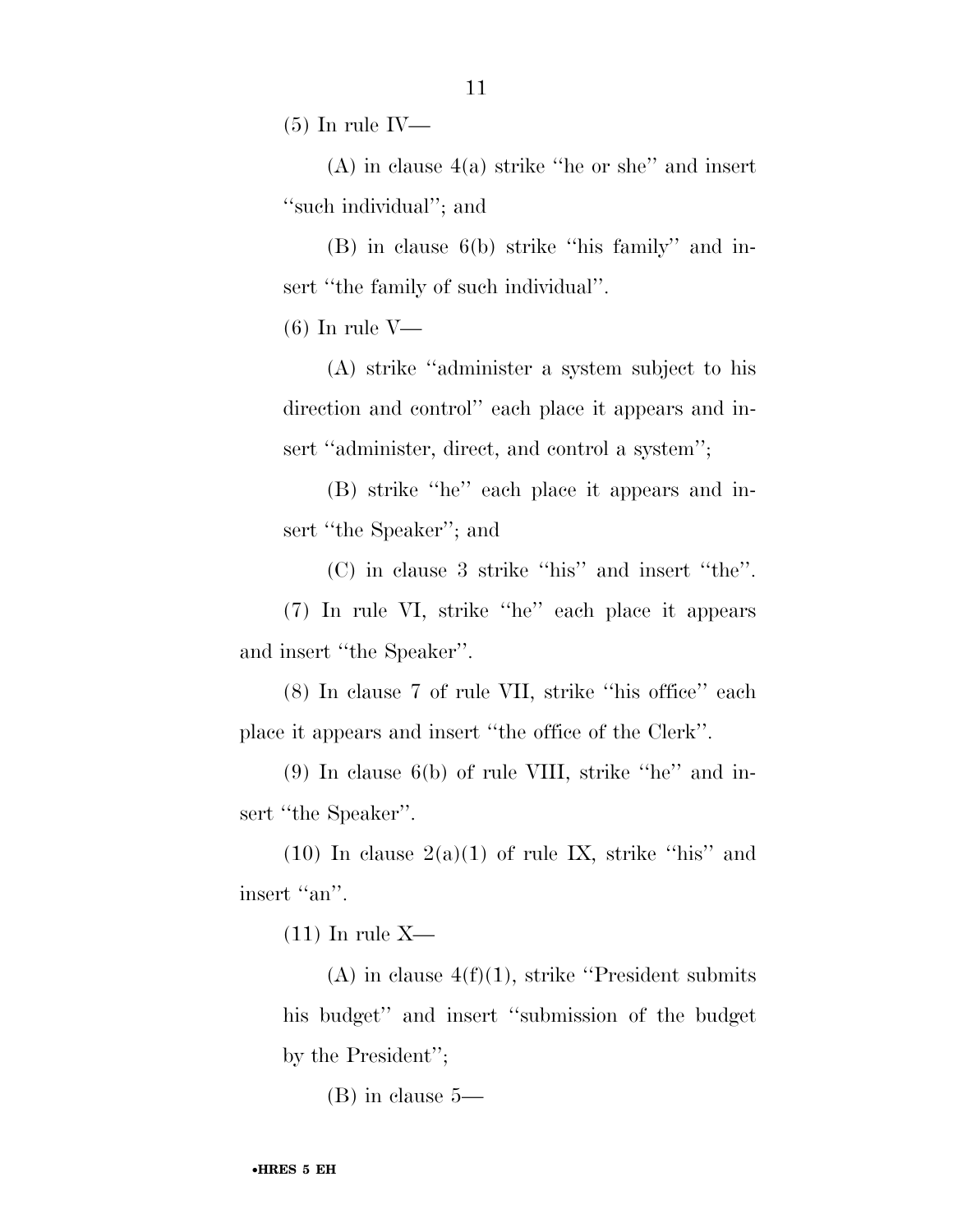$(5)$  In rule IV—

(A) in clause 4(a) strike ''he or she'' and insert ''such individual''; and

(B) in clause 6(b) strike ''his family'' and insert "the family of such individual".

 $(6)$  In rule V—

(A) strike ''administer a system subject to his direction and control'' each place it appears and insert "administer, direct, and control a system";

(B) strike ''he'' each place it appears and insert ''the Speaker''; and

(C) in clause 3 strike ''his'' and insert ''the''. (7) In rule VI, strike ''he'' each place it appears and insert ''the Speaker''.

(8) In clause 7 of rule VII, strike ''his office'' each place it appears and insert ''the office of the Clerk''.

(9) In clause  $6(b)$  of rule VIII, strike "he" and insert "the Speaker".

(10) In clause  $2(a)(1)$  of rule IX, strike "his" and insert "an".

 $(11)$  In rule X—

(A) in clause  $4(f)(1)$ , strike "President submits" his budget'' and insert ''submission of the budget by the President'';

(B) in clause 5—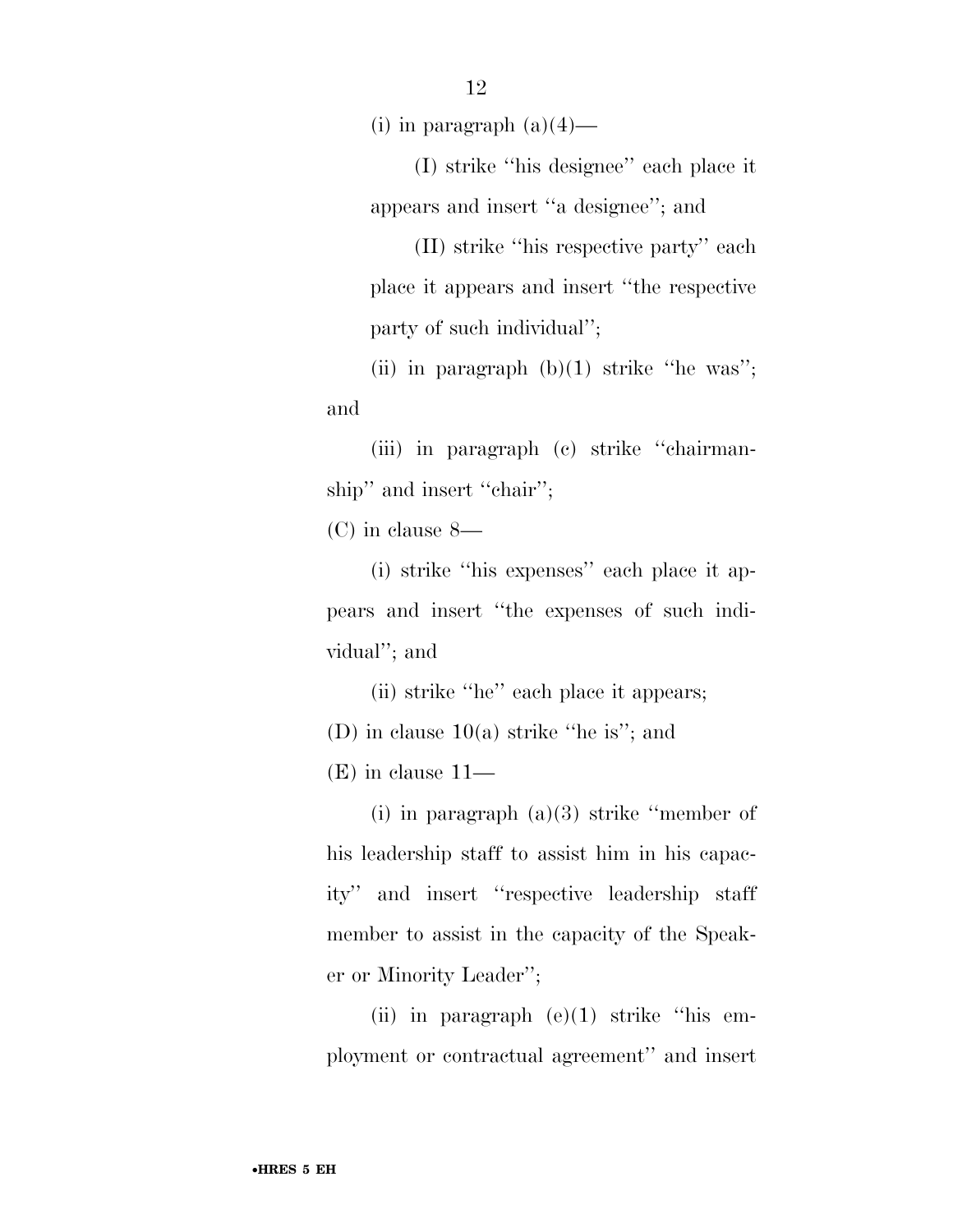(i) in paragraph  $(a)(4)$ —

(I) strike ''his designee'' each place it appears and insert ''a designee''; and

(II) strike ''his respective party'' each place it appears and insert ''the respective party of such individual'';

(ii) in paragraph  $(b)(1)$  strike "he was"; and

(iii) in paragraph (c) strike ''chairmanship" and insert "chair";

(C) in clause 8—

(i) strike ''his expenses'' each place it appears and insert ''the expenses of such individual''; and

(ii) strike ''he'' each place it appears; (D) in clause 10(a) strike ''he is''; and

(E) in clause 11—

(i) in paragraph  $(a)(3)$  strike "member of his leadership staff to assist him in his capacity'' and insert ''respective leadership staff member to assist in the capacity of the Speaker or Minority Leader'';

(ii) in paragraph  $(e)(1)$  strike "his employment or contractual agreement'' and insert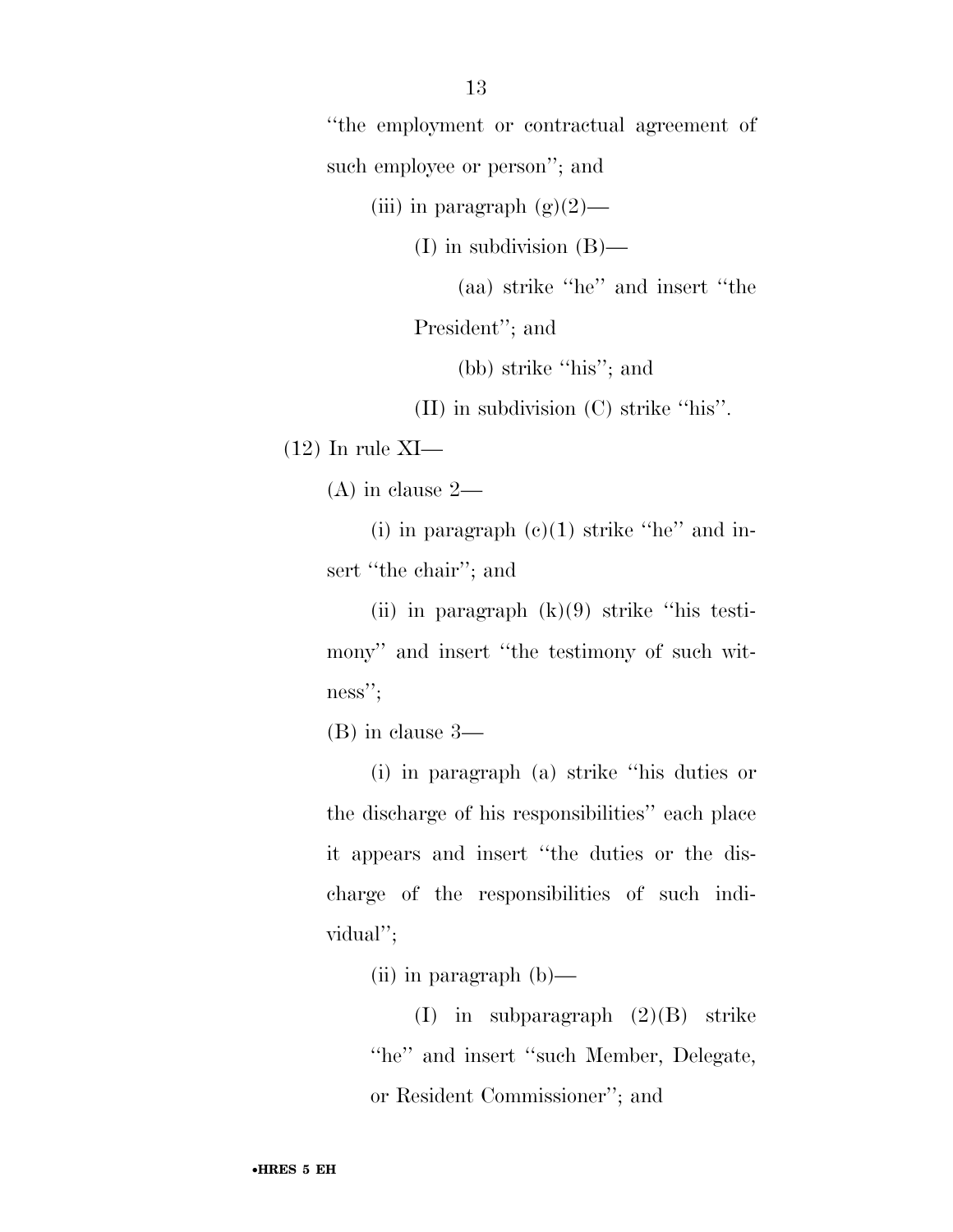''the employment or contractual agreement of such employee or person"; and

(iii) in paragraph  $(g)(2)$ —

(I) in subdivision (B)—

(aa) strike ''he'' and insert ''the

President''; and

(bb) strike ''his''; and

(II) in subdivision (C) strike ''his''.

 $(12)$  In rule XI—

(A) in clause 2—

(i) in paragraph  $(c)(1)$  strike "he" and insert "the chair"; and

(ii) in paragraph  $(k)(9)$  strike "his testimony'' and insert ''the testimony of such witness'';

(B) in clause 3—

(i) in paragraph (a) strike ''his duties or the discharge of his responsibilities'' each place it appears and insert ''the duties or the discharge of the responsibilities of such individual'';

(ii) in paragraph (b)—

(I) in subparagraph (2)(B) strike ''he'' and insert ''such Member, Delegate, or Resident Commissioner''; and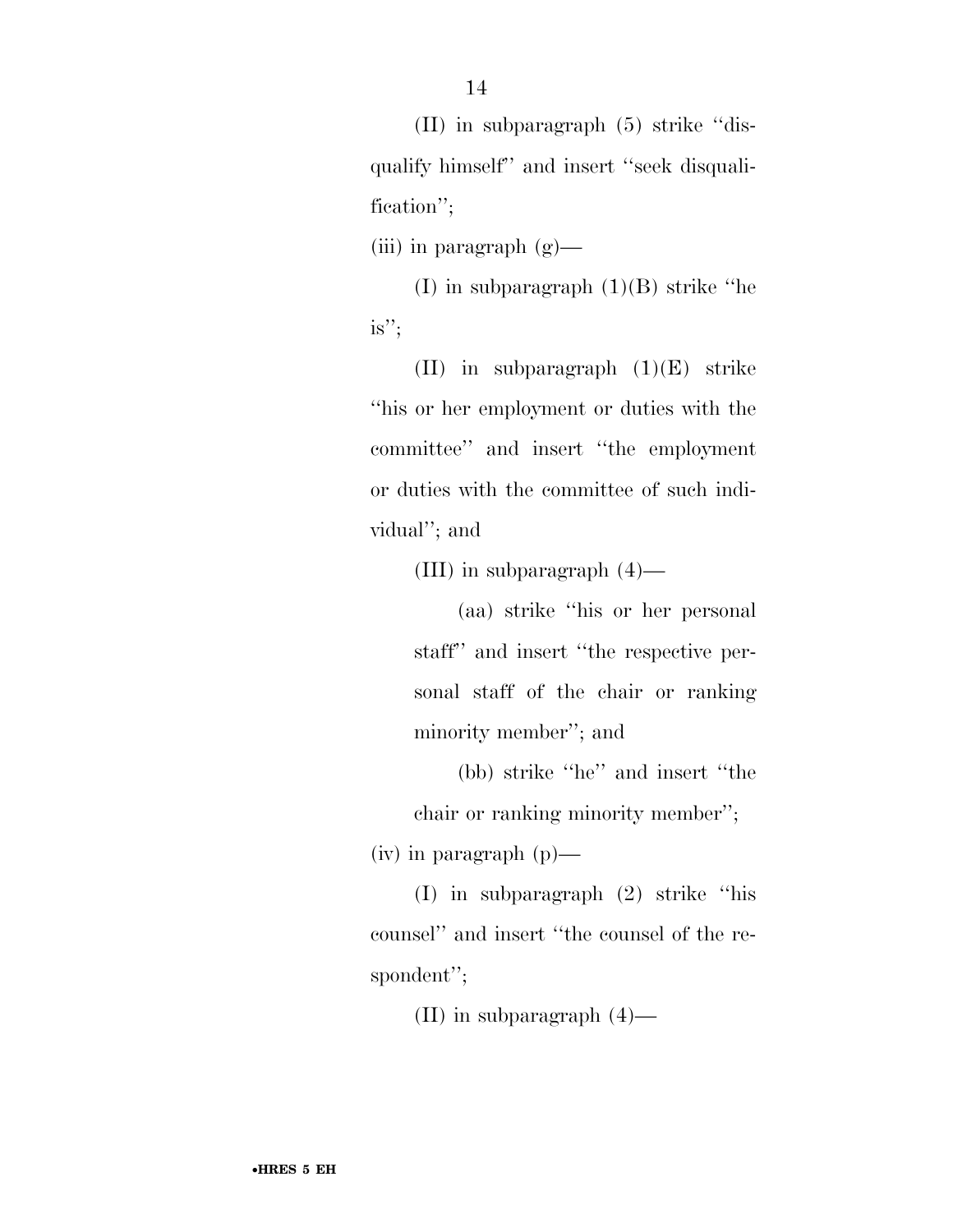(II) in subparagraph (5) strike ''disqualify himself'' and insert ''seek disqualification'';

(iii) in paragraph  $(g)$ —

(I) in subparagraph (1)(B) strike ''he is'';

(II) in subparagraph  $(1)(E)$  strike ''his or her employment or duties with the committee'' and insert ''the employment or duties with the committee of such individual''; and

(III) in subparagraph (4)—

(aa) strike ''his or her personal staff'' and insert ''the respective personal staff of the chair or ranking minority member''; and

(bb) strike ''he'' and insert ''the chair or ranking minority member'';

(iv) in paragraph (p)—

(I) in subparagraph (2) strike ''his counsel'' and insert ''the counsel of the respondent'';

(II) in subparagraph (4)—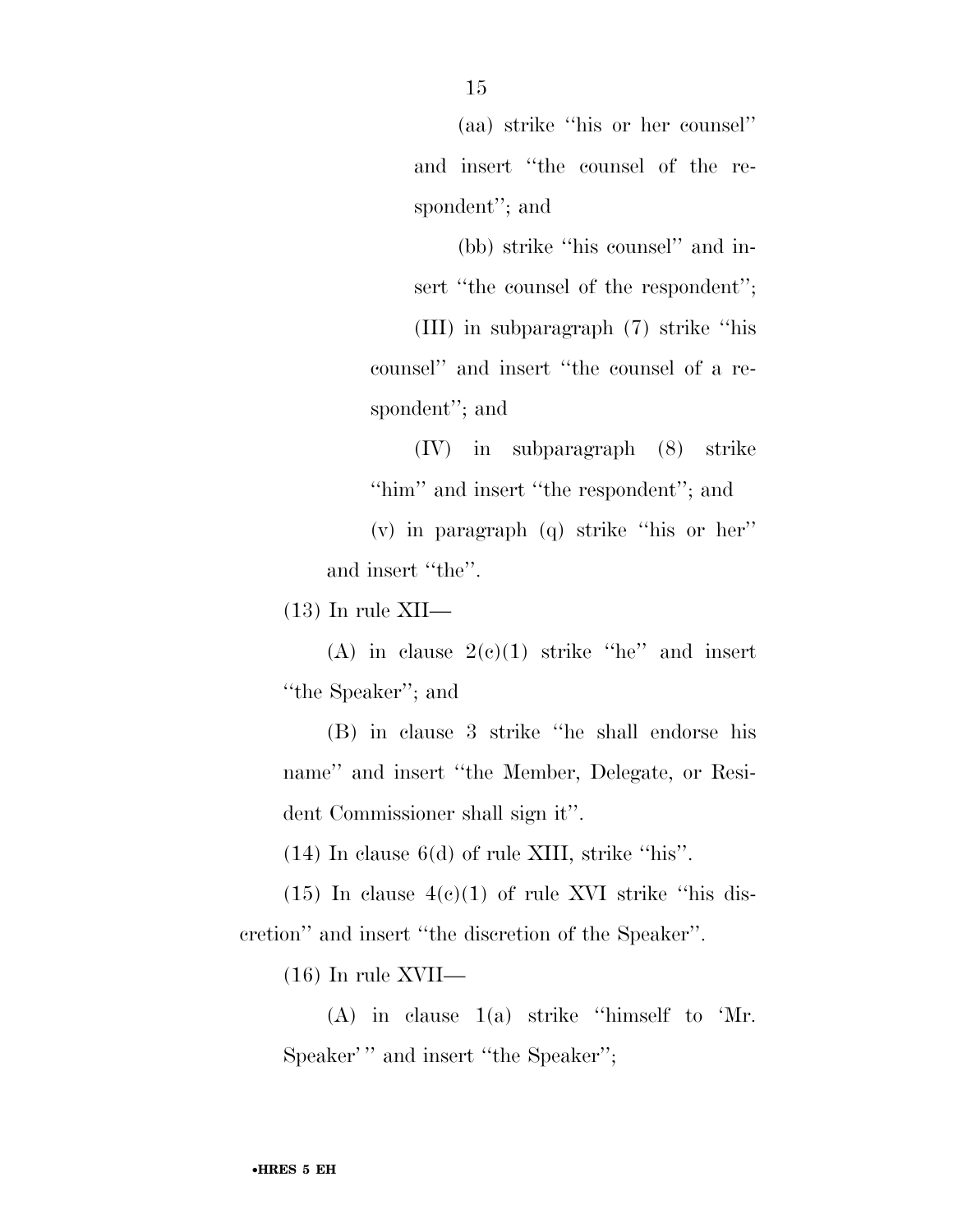(aa) strike ''his or her counsel'' and insert ''the counsel of the respondent''; and

(bb) strike ''his counsel'' and insert "the counsel of the respondent"; (III) in subparagraph (7) strike ''his counsel'' and insert ''the counsel of a respondent''; and

(IV) in subparagraph (8) strike ''him'' and insert ''the respondent''; and

(v) in paragraph (q) strike ''his or her'' and insert ''the''.

 $(13)$  In rule XII—

(A) in clause  $2(c)(1)$  strike "he" and insert ''the Speaker''; and

(B) in clause 3 strike ''he shall endorse his name'' and insert ''the Member, Delegate, or Resident Commissioner shall sign it''.

(14) In clause 6(d) of rule XIII, strike ''his''.

 $(15)$  In clause  $4(c)(1)$  of rule XVI strike "his discretion'' and insert ''the discretion of the Speaker''.

(16) In rule XVII—

(A) in clause 1(a) strike ''himself to 'Mr. Speaker''' and insert "the Speaker";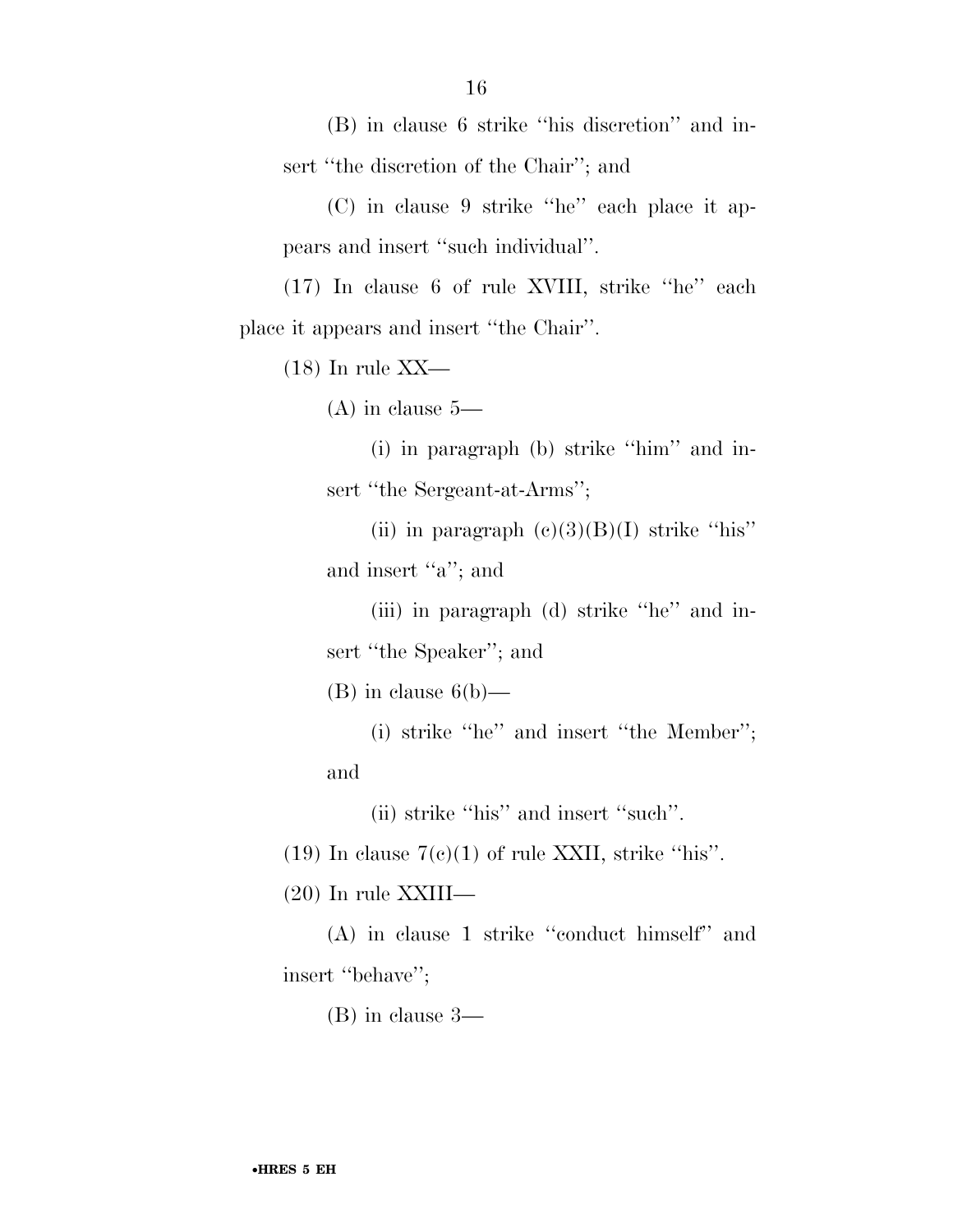(B) in clause 6 strike ''his discretion'' and insert ''the discretion of the Chair''; and

(C) in clause 9 strike ''he'' each place it appears and insert ''such individual''.

(17) In clause 6 of rule XVIII, strike ''he'' each place it appears and insert ''the Chair''.

(18) In rule XX—

(A) in clause 5—

(i) in paragraph (b) strike ''him'' and insert "the Sergeant-at-Arms";

(ii) in paragraph  $(e)(3)(B)(I)$  strike "his" and insert "a"; and

(iii) in paragraph (d) strike ''he'' and insert ''the Speaker''; and

 $(B)$  in clause  $6(b)$ —

(i) strike ''he'' and insert ''the Member''; and

(ii) strike ''his'' and insert ''such''.

(19) In clause  $7(c)(1)$  of rule XXII, strike "his".

(20) In rule XXIII—

(A) in clause 1 strike ''conduct himself'' and insert "behave";

(B) in clause 3—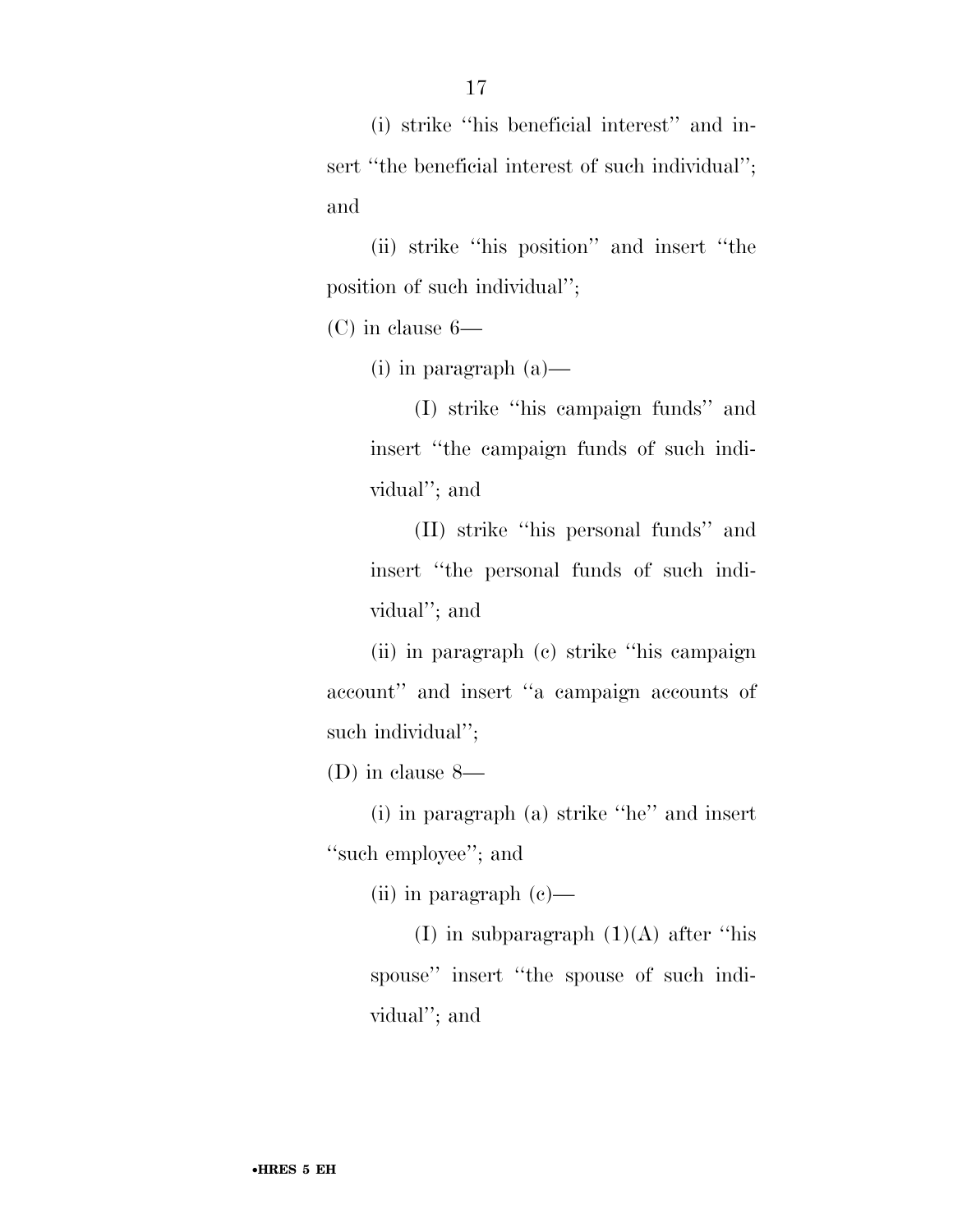(i) strike ''his beneficial interest'' and insert "the beneficial interest of such individual"; and

(ii) strike ''his position'' and insert ''the position of such individual'';

(C) in clause 6—

(i) in paragraph (a)—

(I) strike ''his campaign funds'' and insert ''the campaign funds of such individual''; and

(II) strike ''his personal funds'' and insert ''the personal funds of such individual''; and

(ii) in paragraph (c) strike ''his campaign account'' and insert ''a campaign accounts of such individual'';

(D) in clause 8—

(i) in paragraph (a) strike ''he'' and insert ''such employee''; and

(ii) in paragraph (c)—

(I) in subparagraph (1)(A) after ''his spouse'' insert ''the spouse of such individual''; and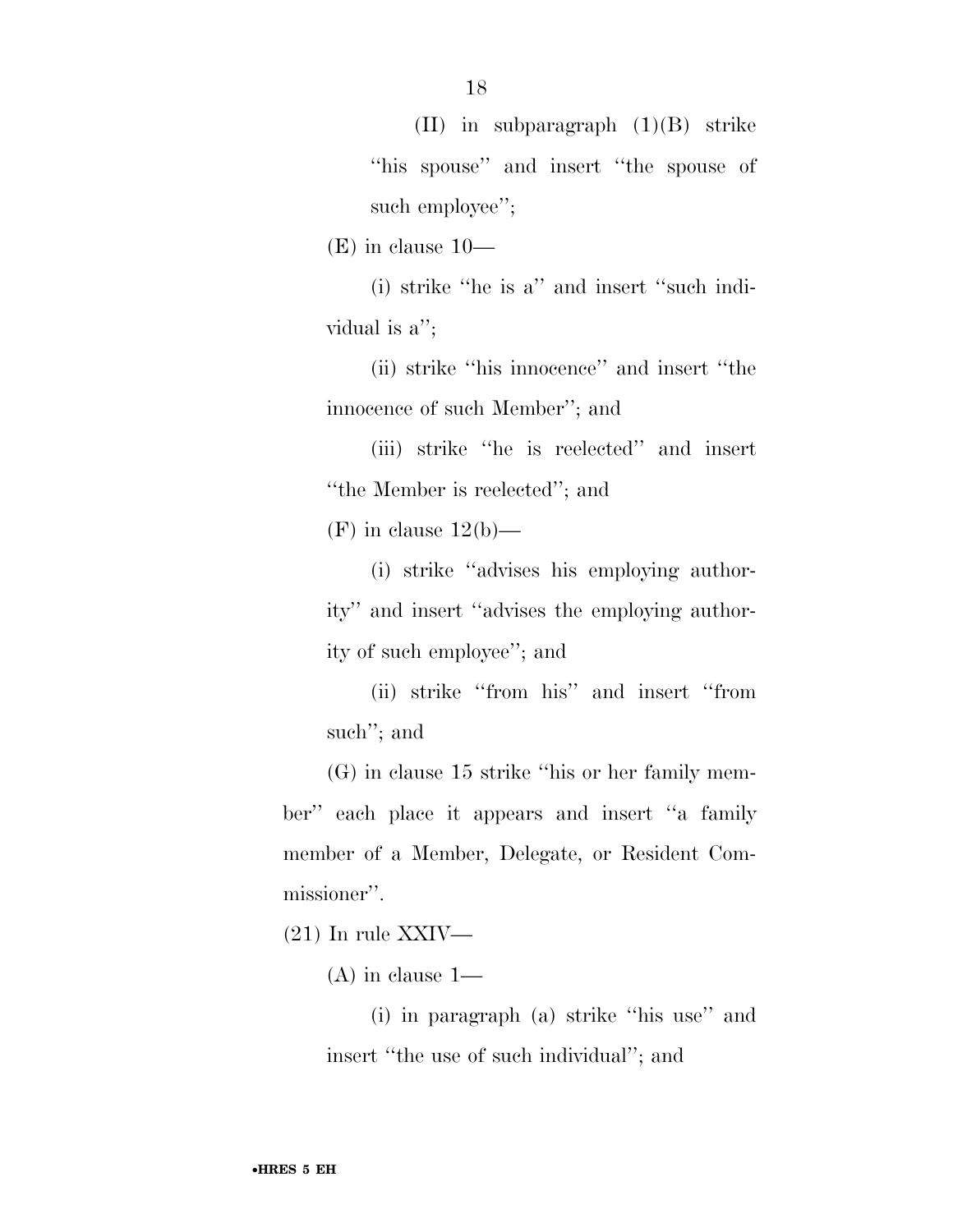(II) in subparagraph (1)(B) strike ''his spouse'' and insert ''the spouse of such employee";

(E) in clause 10—

(i) strike ''he is a'' and insert ''such individual is a'';

(ii) strike ''his innocence'' and insert ''the innocence of such Member''; and

(iii) strike ''he is reelected'' and insert ''the Member is reelected''; and

 $(F)$  in clause  $12(b)$ —

(i) strike ''advises his employing authority'' and insert ''advises the employing authority of such employee''; and

(ii) strike ''from his'' and insert ''from such''; and

(G) in clause 15 strike ''his or her family member'' each place it appears and insert ''a family member of a Member, Delegate, or Resident Commissioner''.

 $(21)$  In rule XXIV—

(A) in clause 1—

(i) in paragraph (a) strike ''his use'' and insert ''the use of such individual''; and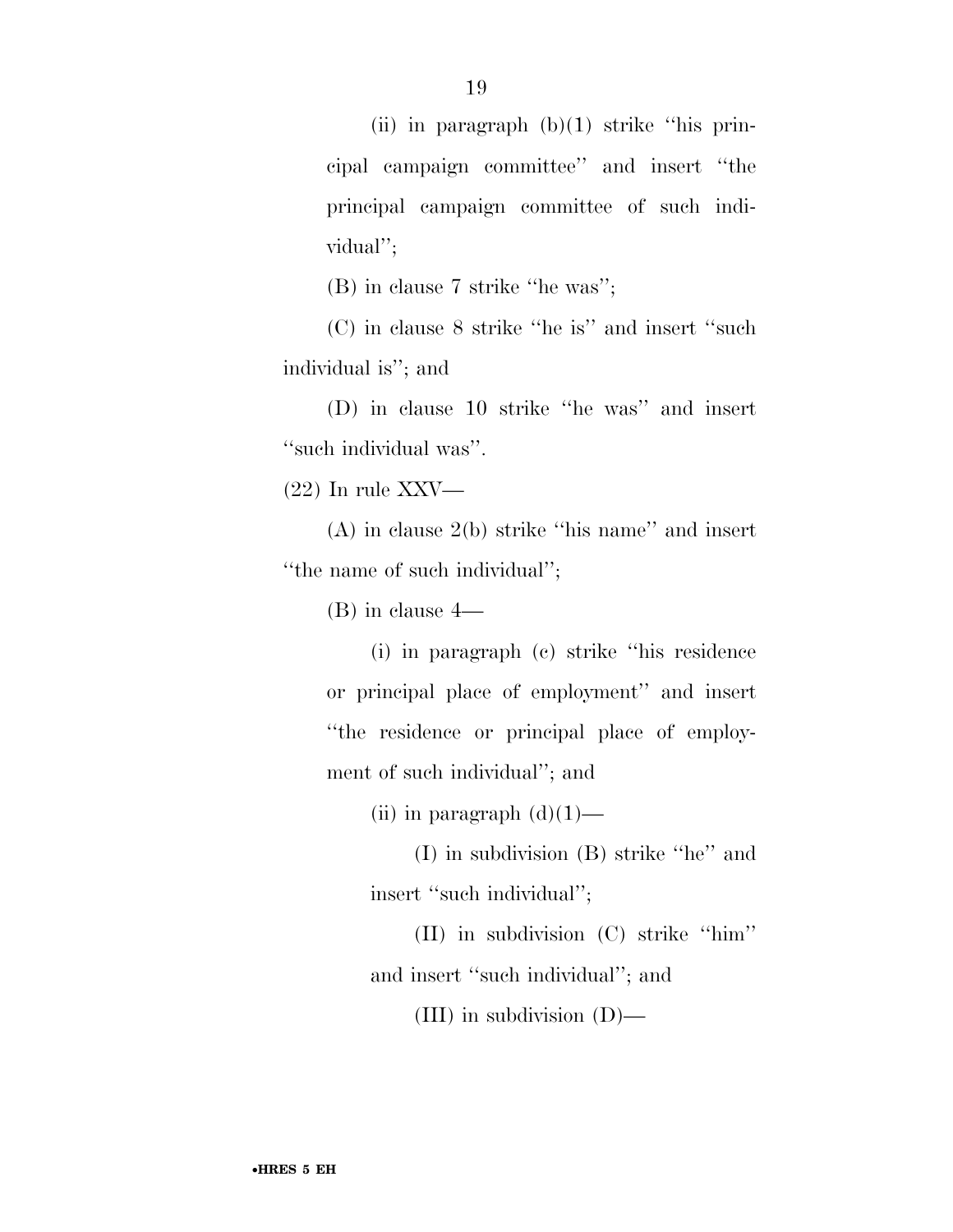(ii) in paragraph  $(b)(1)$  strike "his principal campaign committee'' and insert ''the principal campaign committee of such individual'';

(B) in clause 7 strike ''he was'';

(C) in clause 8 strike ''he is'' and insert ''such individual is''; and

(D) in clause 10 strike ''he was'' and insert ''such individual was''.

(22) In rule XXV—

(A) in clause 2(b) strike ''his name'' and insert ''the name of such individual'';

(B) in clause 4—

(i) in paragraph (c) strike ''his residence or principal place of employment'' and insert ''the residence or principal place of employment of such individual''; and

(ii) in paragraph  $(d)(1)$ —

(I) in subdivision (B) strike ''he'' and insert ''such individual'';

(II) in subdivision (C) strike ''him''

and insert ''such individual''; and

(III) in subdivision (D)—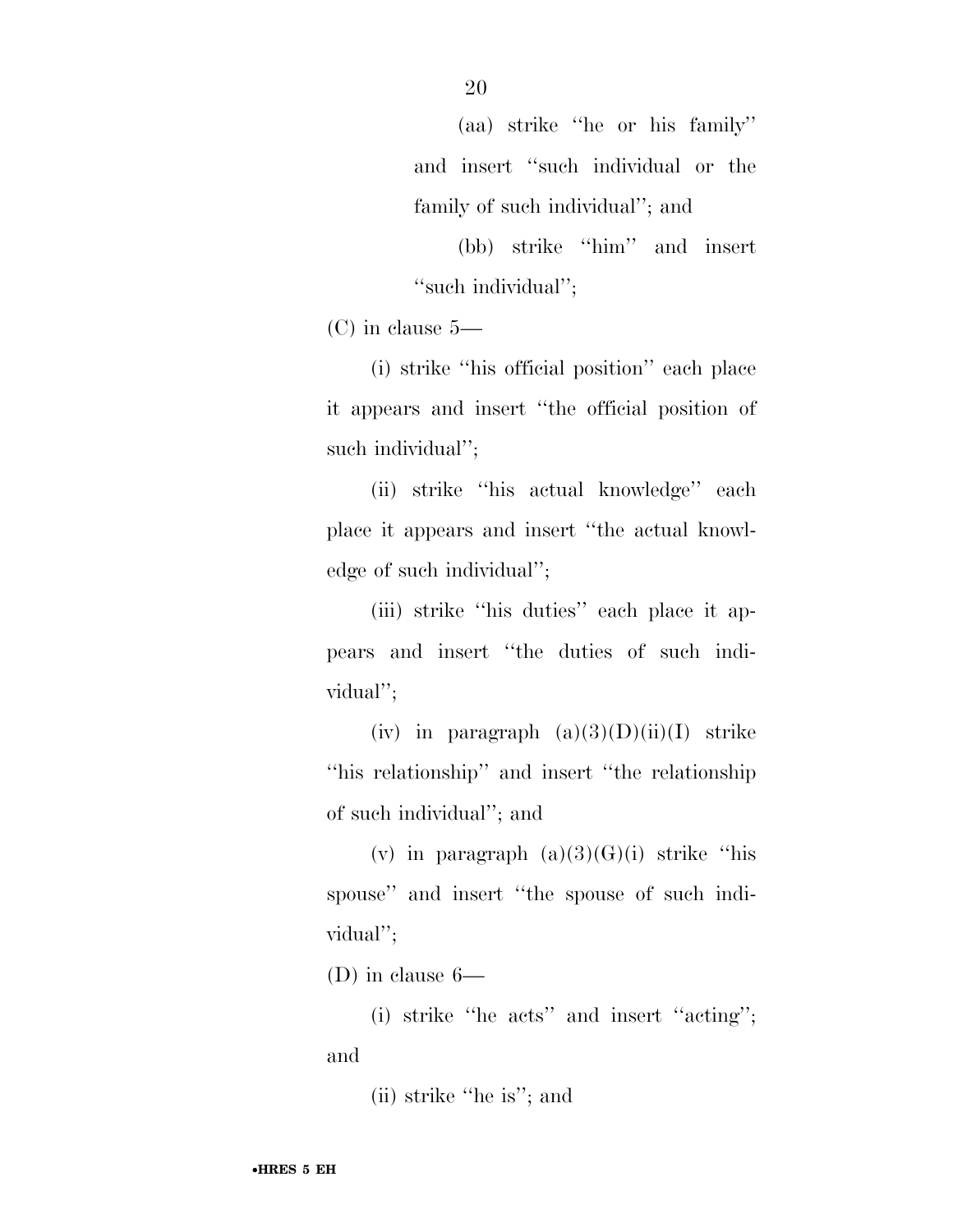(aa) strike ''he or his family'' and insert ''such individual or the family of such individual''; and

(bb) strike ''him'' and insert "such individual";

(C) in clause 5—

(i) strike ''his official position'' each place it appears and insert ''the official position of such individual'';

(ii) strike ''his actual knowledge'' each place it appears and insert ''the actual knowledge of such individual'';

(iii) strike ''his duties'' each place it appears and insert ''the duties of such individual'';

(iv) in paragraph  $(a)(3)(D)(ii)(I)$  strike ''his relationship'' and insert ''the relationship of such individual''; and

(v) in paragraph  $(a)(3)(G)(i)$  strike "his spouse'' and insert ''the spouse of such individual'';

(D) in clause 6—

(i) strike ''he acts'' and insert ''acting''; and

(ii) strike ''he is''; and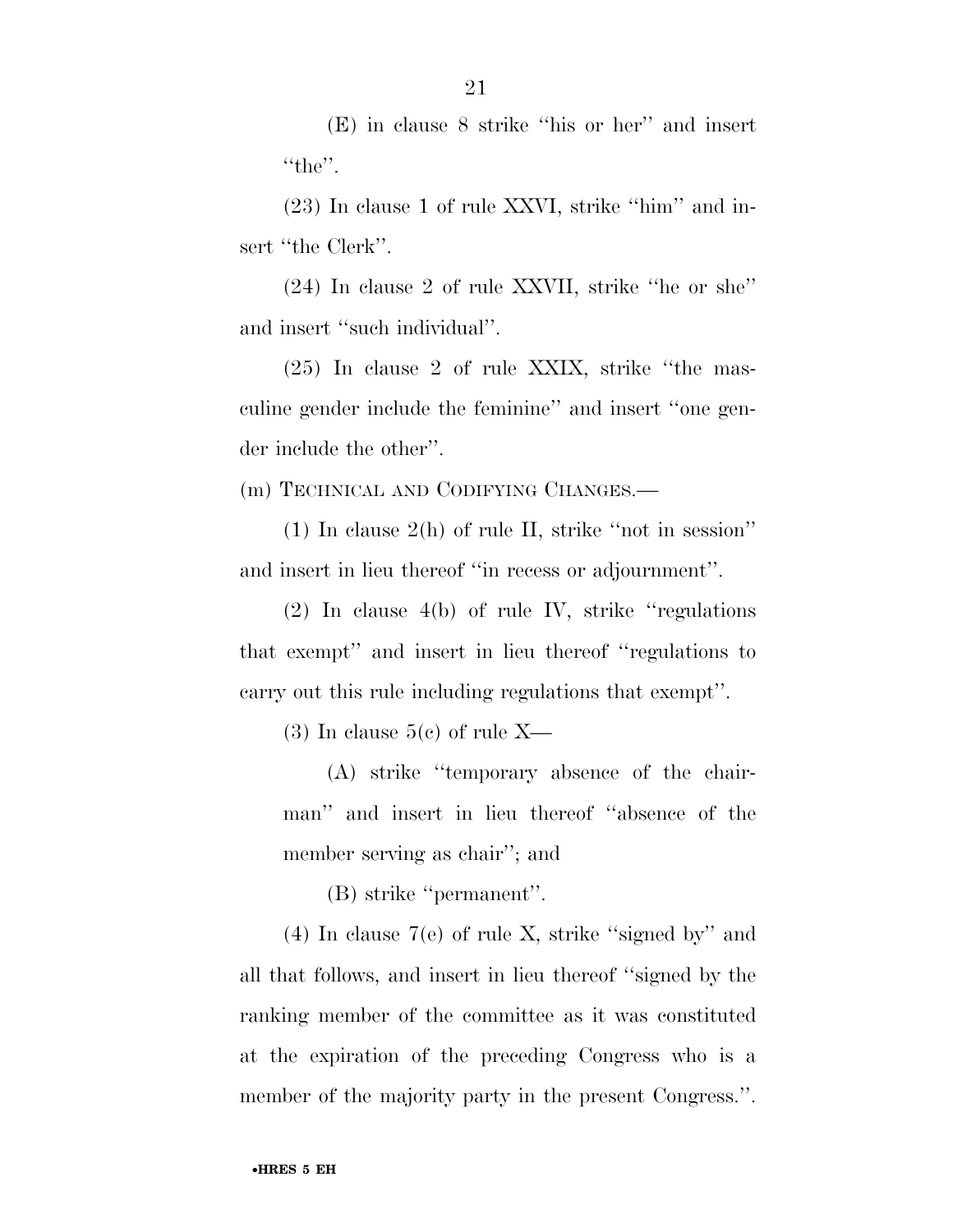(E) in clause 8 strike ''his or her'' and insert "the".

(23) In clause 1 of rule XXVI, strike ''him'' and insert "the Clerk".

(24) In clause 2 of rule XXVII, strike ''he or she'' and insert ''such individual''.

(25) In clause 2 of rule XXIX, strike ''the masculine gender include the feminine'' and insert ''one gender include the other''.

(m) TECHNICAL AND CODIFYING CHANGES.—

(1) In clause 2(h) of rule II, strike ''not in session'' and insert in lieu thereof ''in recess or adjournment''.

(2) In clause 4(b) of rule IV, strike ''regulations that exempt'' and insert in lieu thereof ''regulations to carry out this rule including regulations that exempt''.

(3) In clause  $5(e)$  of rule X—

(A) strike ''temporary absence of the chairman'' and insert in lieu thereof ''absence of the member serving as chair''; and

(B) strike ''permanent''.

(4) In clause 7(e) of rule X, strike ''signed by'' and all that follows, and insert in lieu thereof ''signed by the ranking member of the committee as it was constituted at the expiration of the preceding Congress who is a member of the majority party in the present Congress.''.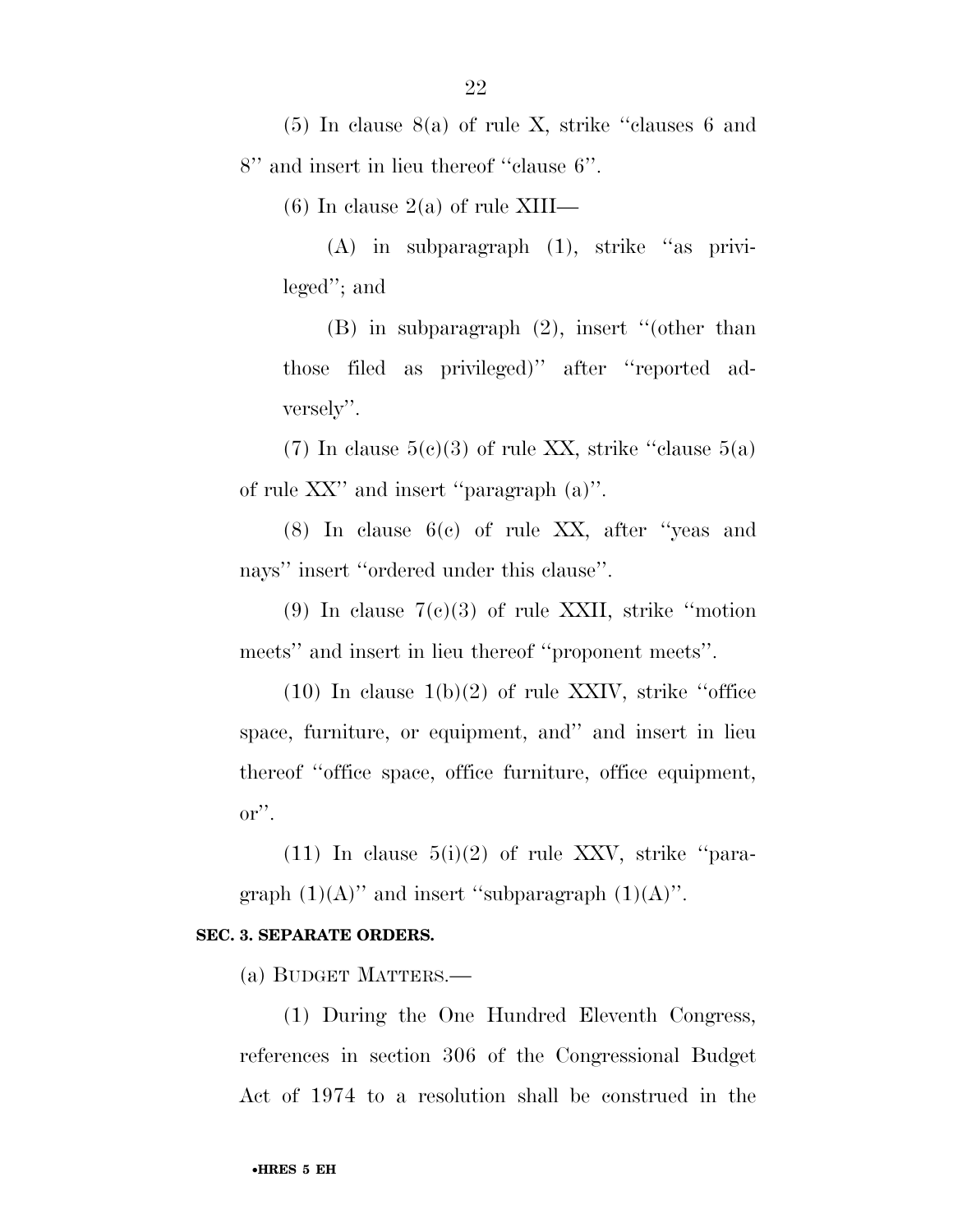(5) In clause 8(a) of rule X, strike ''clauses 6 and 8'' and insert in lieu thereof ''clause 6''.

(6) In clause  $2(a)$  of rule XIII—

(A) in subparagraph (1), strike ''as privileged''; and

(B) in subparagraph (2), insert ''(other than those filed as privileged)'' after ''reported adversely''.

(7) In clause  $5(c)(3)$  of rule XX, strike "clause  $5(a)$ of rule XX'' and insert ''paragraph (a)''.

(8) In clause 6(c) of rule XX, after ''yeas and nays" insert "ordered under this clause".

(9) In clause  $7(c)(3)$  of rule XXII, strike "motion" meets'' and insert in lieu thereof ''proponent meets''.

 $(10)$  In clause  $1(b)(2)$  of rule XXIV, strike "office" space, furniture, or equipment, and'' and insert in lieu thereof ''office space, office furniture, office equipment, or''.

 $(11)$  In clause  $5(i)(2)$  of rule XXV, strike "paragraph  $(1)(A)$ " and insert "subparagraph  $(1)(A)$ ".

#### **SEC. 3. SEPARATE ORDERS.**

(a) BUDGET MATTERS.—

(1) During the One Hundred Eleventh Congress, references in section 306 of the Congressional Budget Act of 1974 to a resolution shall be construed in the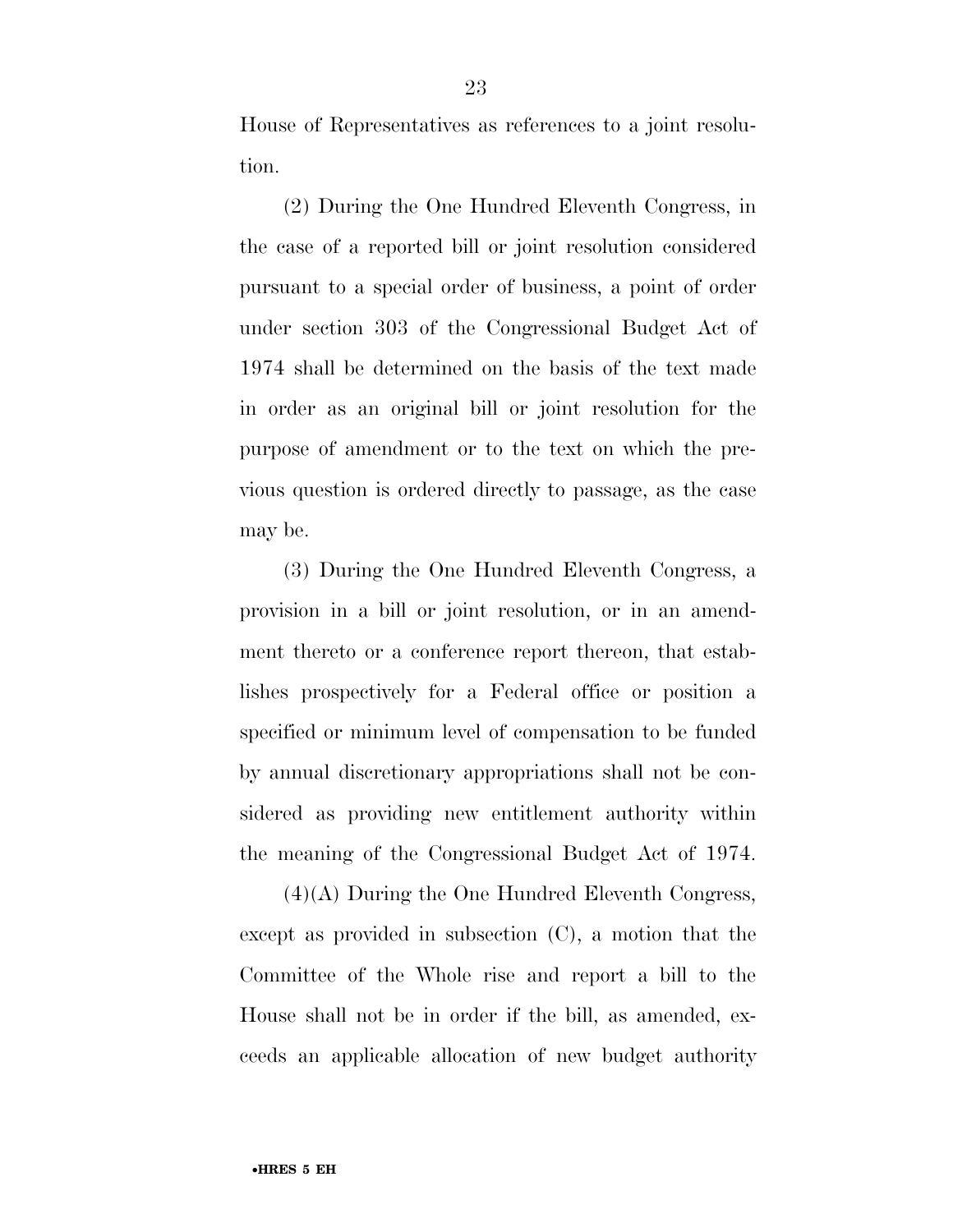House of Representatives as references to a joint resolution.

(2) During the One Hundred Eleventh Congress, in the case of a reported bill or joint resolution considered pursuant to a special order of business, a point of order under section 303 of the Congressional Budget Act of 1974 shall be determined on the basis of the text made in order as an original bill or joint resolution for the purpose of amendment or to the text on which the previous question is ordered directly to passage, as the case may be.

(3) During the One Hundred Eleventh Congress, a provision in a bill or joint resolution, or in an amendment thereto or a conference report thereon, that establishes prospectively for a Federal office or position a specified or minimum level of compensation to be funded by annual discretionary appropriations shall not be considered as providing new entitlement authority within the meaning of the Congressional Budget Act of 1974.

(4)(A) During the One Hundred Eleventh Congress, except as provided in subsection (C), a motion that the Committee of the Whole rise and report a bill to the House shall not be in order if the bill, as amended, exceeds an applicable allocation of new budget authority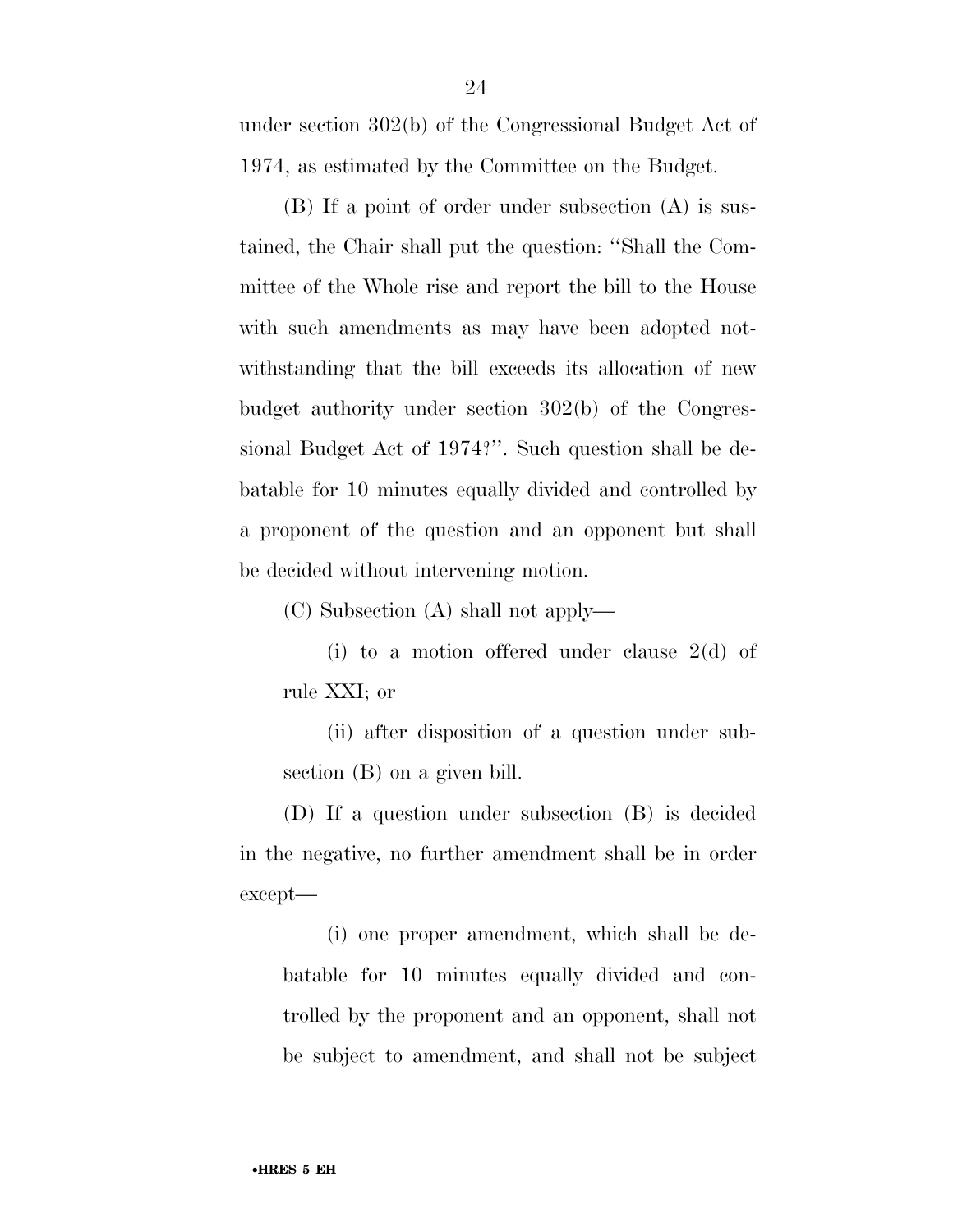under section 302(b) of the Congressional Budget Act of 1974, as estimated by the Committee on the Budget.

(B) If a point of order under subsection (A) is sustained, the Chair shall put the question: ''Shall the Committee of the Whole rise and report the bill to the House with such amendments as may have been adopted notwithstanding that the bill exceeds its allocation of new budget authority under section 302(b) of the Congressional Budget Act of 1974?''. Such question shall be debatable for 10 minutes equally divided and controlled by a proponent of the question and an opponent but shall be decided without intervening motion.

(C) Subsection (A) shall not apply—

(i) to a motion offered under clause 2(d) of rule XXI; or

(ii) after disposition of a question under subsection (B) on a given bill.

(D) If a question under subsection (B) is decided in the negative, no further amendment shall be in order except—

(i) one proper amendment, which shall be debatable for 10 minutes equally divided and controlled by the proponent and an opponent, shall not be subject to amendment, and shall not be subject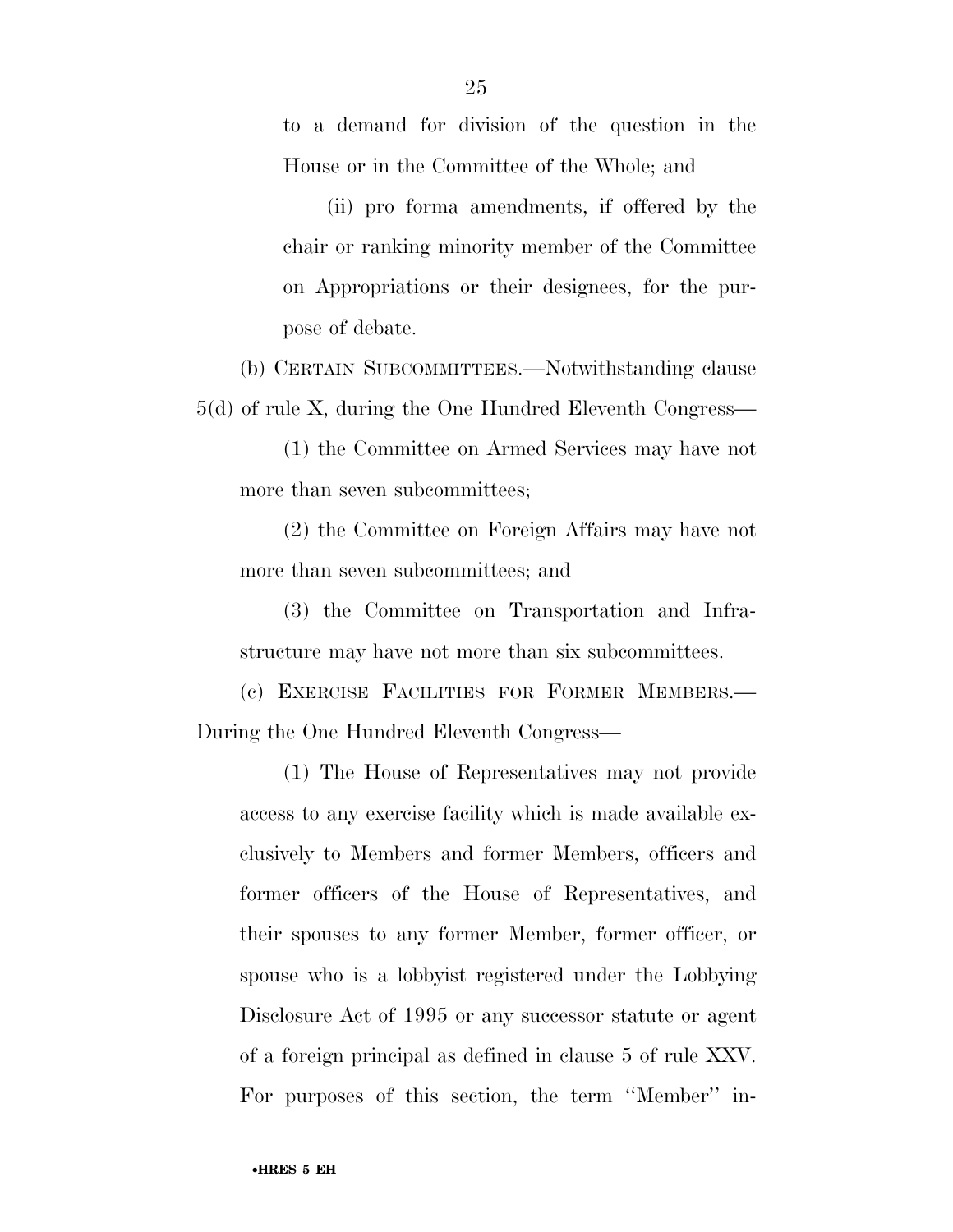to a demand for division of the question in the House or in the Committee of the Whole; and

(ii) pro forma amendments, if offered by the chair or ranking minority member of the Committee on Appropriations or their designees, for the purpose of debate.

(b) CERTAIN SUBCOMMITTEES.—Notwithstanding clause 5(d) of rule X, during the One Hundred Eleventh Congress—

(1) the Committee on Armed Services may have not more than seven subcommittees;

(2) the Committee on Foreign Affairs may have not more than seven subcommittees; and

(3) the Committee on Transportation and Infrastructure may have not more than six subcommittees.

(c) EXERCISE FACILITIES FOR FORMER MEMBERS.— During the One Hundred Eleventh Congress—

(1) The House of Representatives may not provide access to any exercise facility which is made available exclusively to Members and former Members, officers and former officers of the House of Representatives, and their spouses to any former Member, former officer, or spouse who is a lobbyist registered under the Lobbying Disclosure Act of 1995 or any successor statute or agent of a foreign principal as defined in clause 5 of rule XXV. For purposes of this section, the term ''Member'' in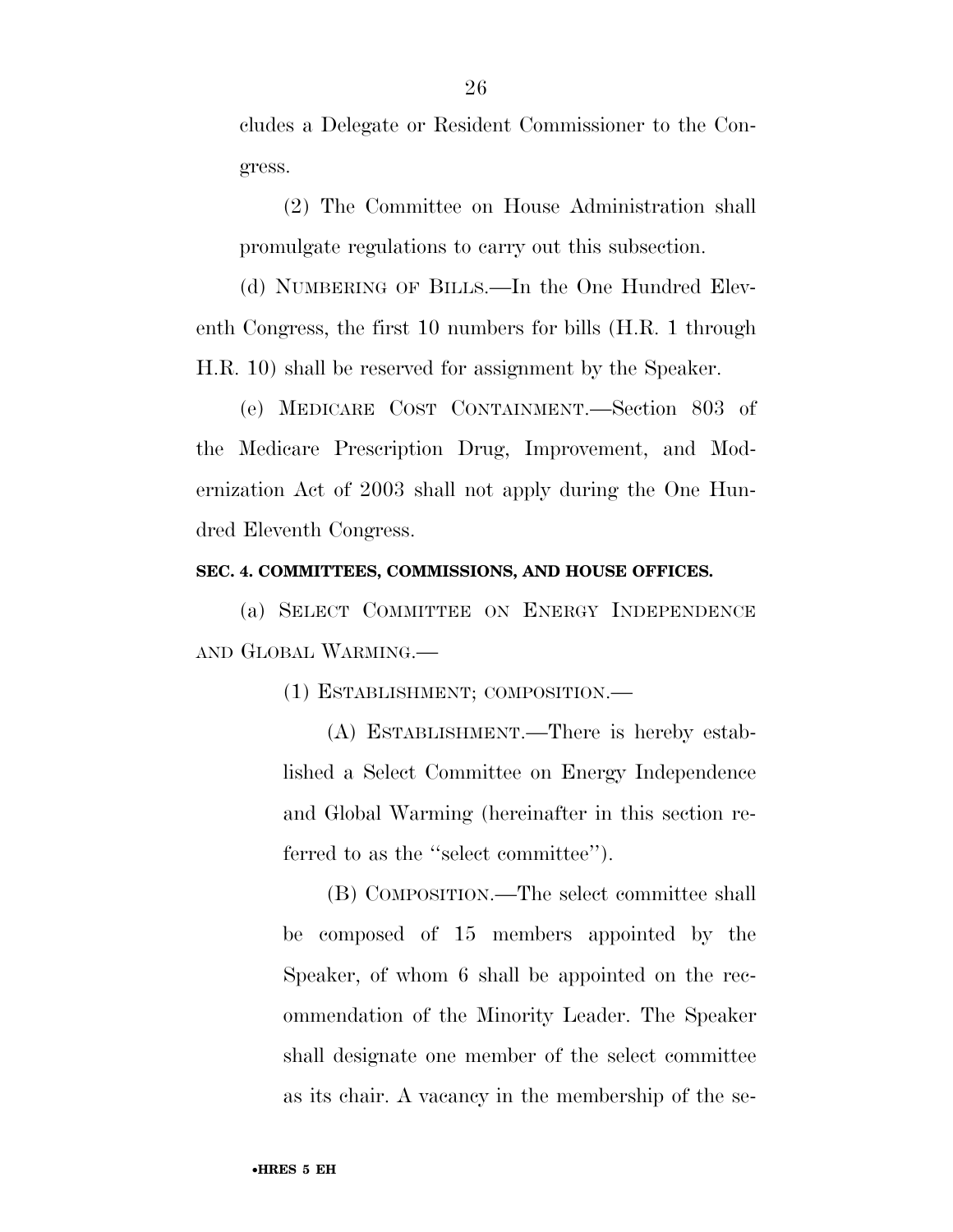cludes a Delegate or Resident Commissioner to the Congress.

(2) The Committee on House Administration shall promulgate regulations to carry out this subsection.

(d) NUMBERING OF BILLS.—In the One Hundred Eleventh Congress, the first 10 numbers for bills (H.R. 1 through H.R. 10) shall be reserved for assignment by the Speaker.

(e) MEDICARE COST CONTAINMENT.—Section 803 of the Medicare Prescription Drug, Improvement, and Modernization Act of 2003 shall not apply during the One Hundred Eleventh Congress.

#### **SEC. 4. COMMITTEES, COMMISSIONS, AND HOUSE OFFICES.**

(a) SELECT COMMITTEE ON ENERGY INDEPENDENCE AND GLOBAL WARMING.—

(1) ESTABLISHMENT; COMPOSITION.—

(A) ESTABLISHMENT.—There is hereby established a Select Committee on Energy Independence and Global Warming (hereinafter in this section referred to as the ''select committee'').

(B) COMPOSITION.—The select committee shall be composed of 15 members appointed by the Speaker, of whom 6 shall be appointed on the recommendation of the Minority Leader. The Speaker shall designate one member of the select committee as its chair. A vacancy in the membership of the se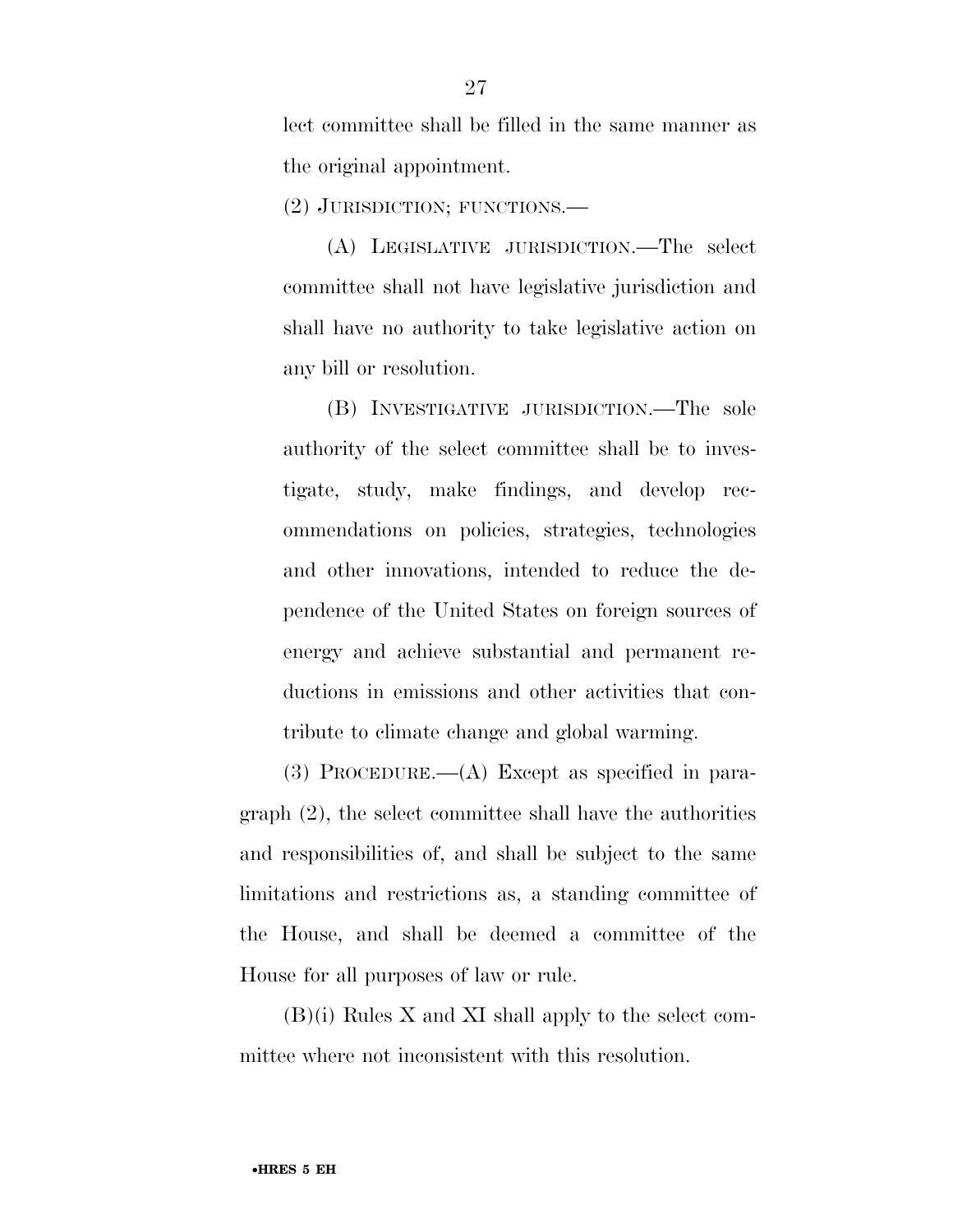lect committee shall be filled in the same manner as the original appointment.

(2) JURISDICTION; FUNCTIONS.—

(A) LEGISLATIVE JURISDICTION.—The select committee shall not have legislative jurisdiction and shall have no authority to take legislative action on any bill or resolution.

(B) INVESTIGATIVE JURISDICTION.—The sole authority of the select committee shall be to investigate, study, make findings, and develop recommendations on policies, strategies, technologies and other innovations, intended to reduce the dependence of the United States on foreign sources of energy and achieve substantial and permanent reductions in emissions and other activities that contribute to climate change and global warming.

(3) PROCEDURE.—(A) Except as specified in paragraph (2), the select committee shall have the authorities and responsibilities of, and shall be subject to the same limitations and restrictions as, a standing committee of the House, and shall be deemed a committee of the House for all purposes of law or rule.

(B)(i) Rules X and XI shall apply to the select committee where not inconsistent with this resolution.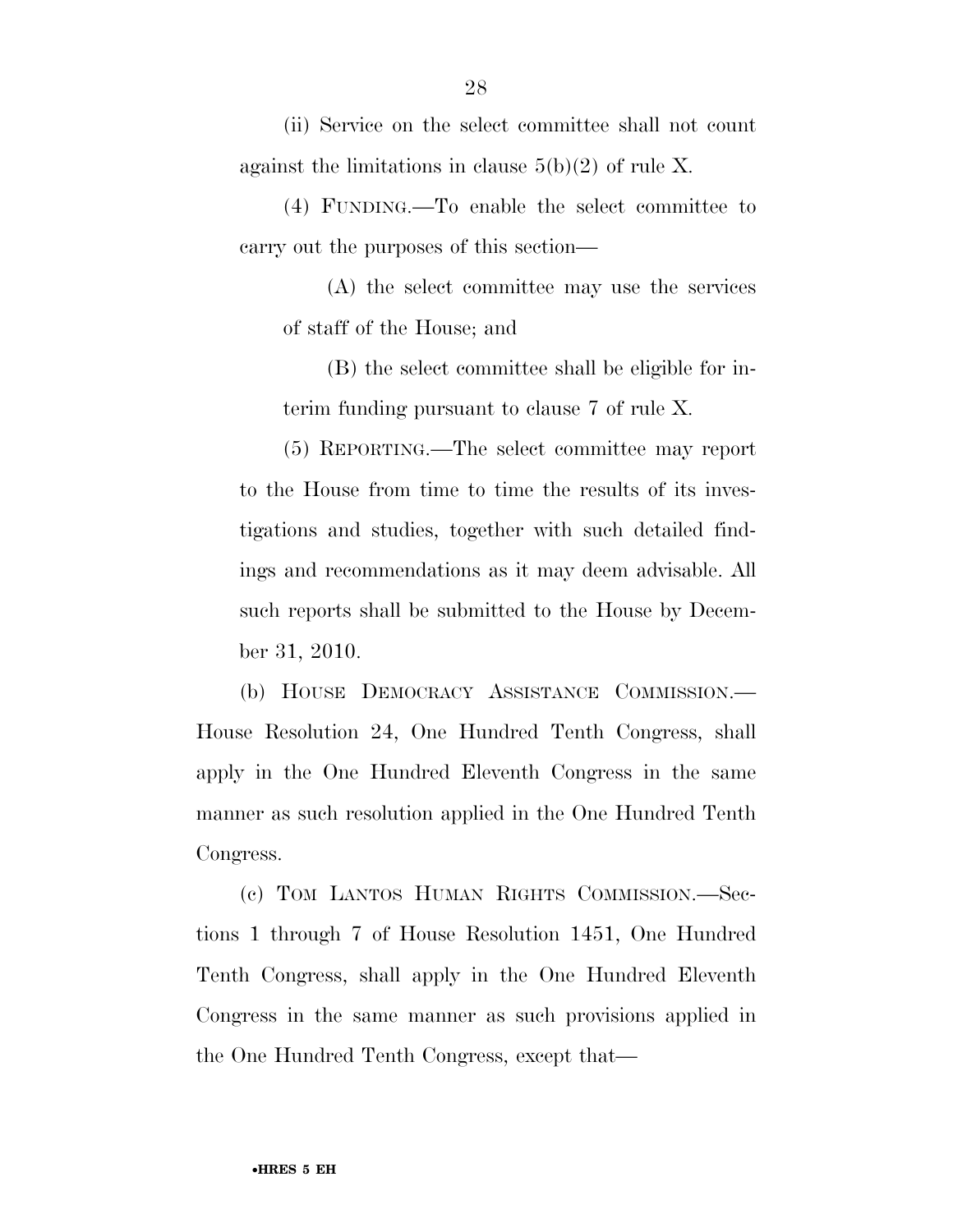(ii) Service on the select committee shall not count against the limitations in clause  $5(b)(2)$  of rule X.

(4) FUNDING.—To enable the select committee to carry out the purposes of this section—

(A) the select committee may use the services of staff of the House; and

(B) the select committee shall be eligible for interim funding pursuant to clause 7 of rule X.

(5) REPORTING.—The select committee may report to the House from time to time the results of its investigations and studies, together with such detailed findings and recommendations as it may deem advisable. All such reports shall be submitted to the House by December 31, 2010.

(b) HOUSE DEMOCRACY ASSISTANCE COMMISSION.— House Resolution 24, One Hundred Tenth Congress, shall apply in the One Hundred Eleventh Congress in the same manner as such resolution applied in the One Hundred Tenth Congress.

(c) TOM LANTOS HUMAN RIGHTS COMMISSION.—Sections 1 through 7 of House Resolution 1451, One Hundred Tenth Congress, shall apply in the One Hundred Eleventh Congress in the same manner as such provisions applied in the One Hundred Tenth Congress, except that—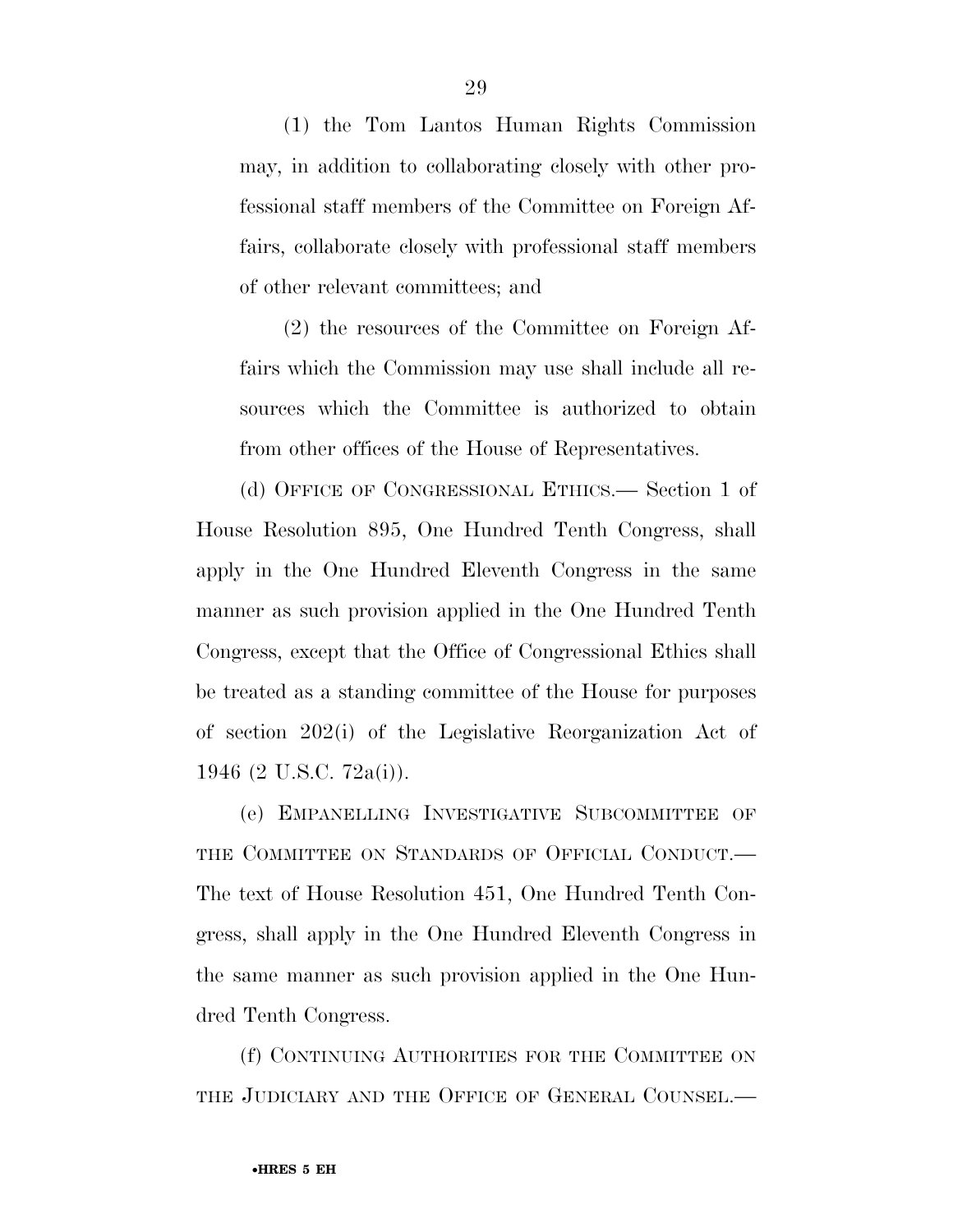(1) the Tom Lantos Human Rights Commission may, in addition to collaborating closely with other professional staff members of the Committee on Foreign Affairs, collaborate closely with professional staff members of other relevant committees; and

(2) the resources of the Committee on Foreign Affairs which the Commission may use shall include all resources which the Committee is authorized to obtain from other offices of the House of Representatives.

(d) OFFICE OF CONGRESSIONAL ETHICS.— Section 1 of House Resolution 895, One Hundred Tenth Congress, shall apply in the One Hundred Eleventh Congress in the same manner as such provision applied in the One Hundred Tenth Congress, except that the Office of Congressional Ethics shall be treated as a standing committee of the House for purposes of section 202(i) of the Legislative Reorganization Act of 1946 (2 U.S.C. 72a(i)).

(e) EMPANELLING INVESTIGATIVE SUBCOMMITTEE OF THE COMMITTEE ON STANDARDS OF OFFICIAL CONDUCT.— The text of House Resolution 451, One Hundred Tenth Congress, shall apply in the One Hundred Eleventh Congress in the same manner as such provision applied in the One Hundred Tenth Congress.

(f) CONTINUING AUTHORITIES FOR THE COMMITTEE ON THE JUDICIARY AND THE OFFICE OF GENERAL COUNSEL.—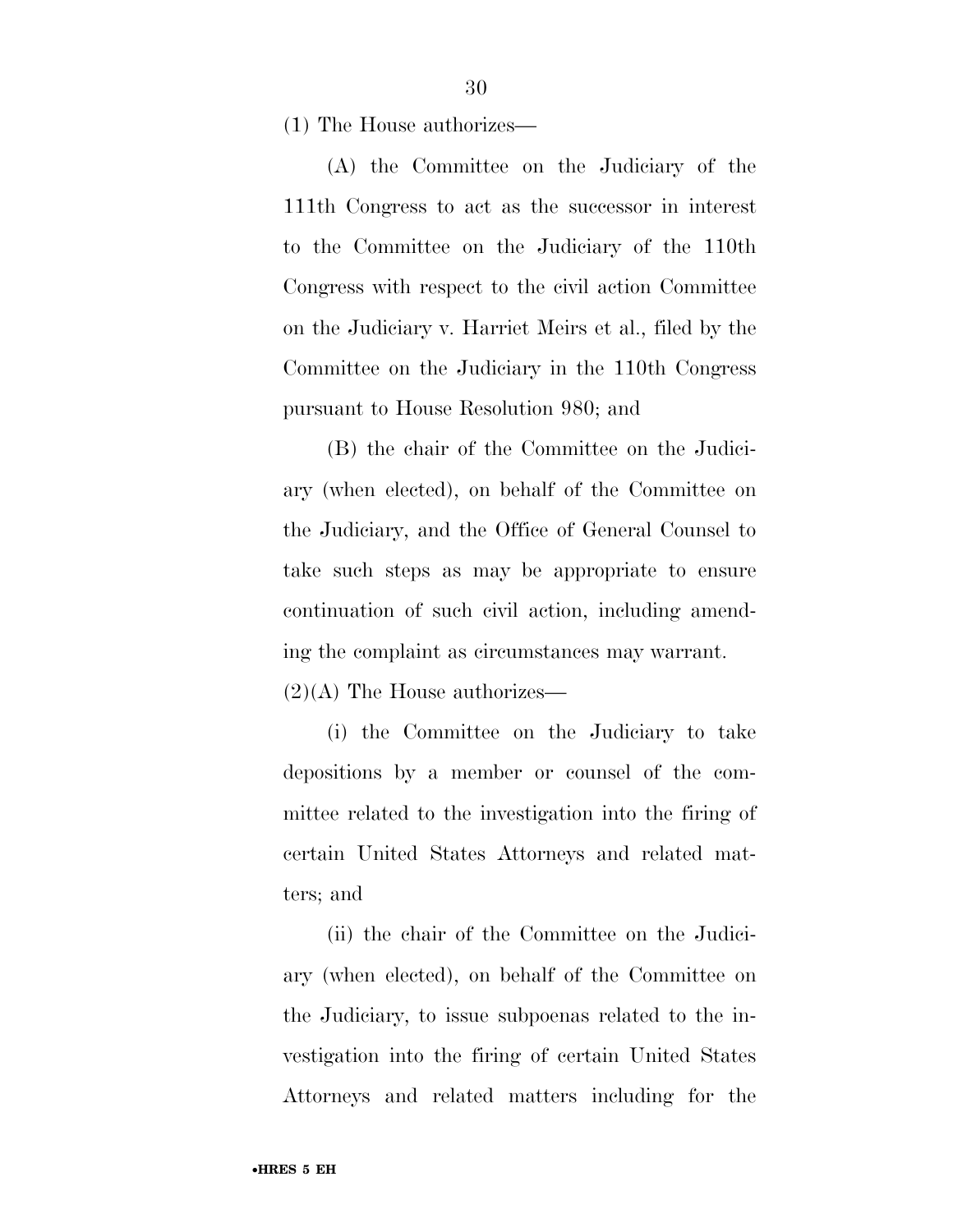(1) The House authorizes—

(A) the Committee on the Judiciary of the 111th Congress to act as the successor in interest to the Committee on the Judiciary of the 110th Congress with respect to the civil action Committee on the Judiciary v. Harriet Meirs et al., filed by the Committee on the Judiciary in the 110th Congress pursuant to House Resolution 980; and

(B) the chair of the Committee on the Judiciary (when elected), on behalf of the Committee on the Judiciary, and the Office of General Counsel to take such steps as may be appropriate to ensure continuation of such civil action, including amending the complaint as circumstances may warrant.  $(2)(A)$  The House authorizes—

(i) the Committee on the Judiciary to take depositions by a member or counsel of the committee related to the investigation into the firing of certain United States Attorneys and related matters; and

(ii) the chair of the Committee on the Judiciary (when elected), on behalf of the Committee on the Judiciary, to issue subpoenas related to the investigation into the firing of certain United States Attorneys and related matters including for the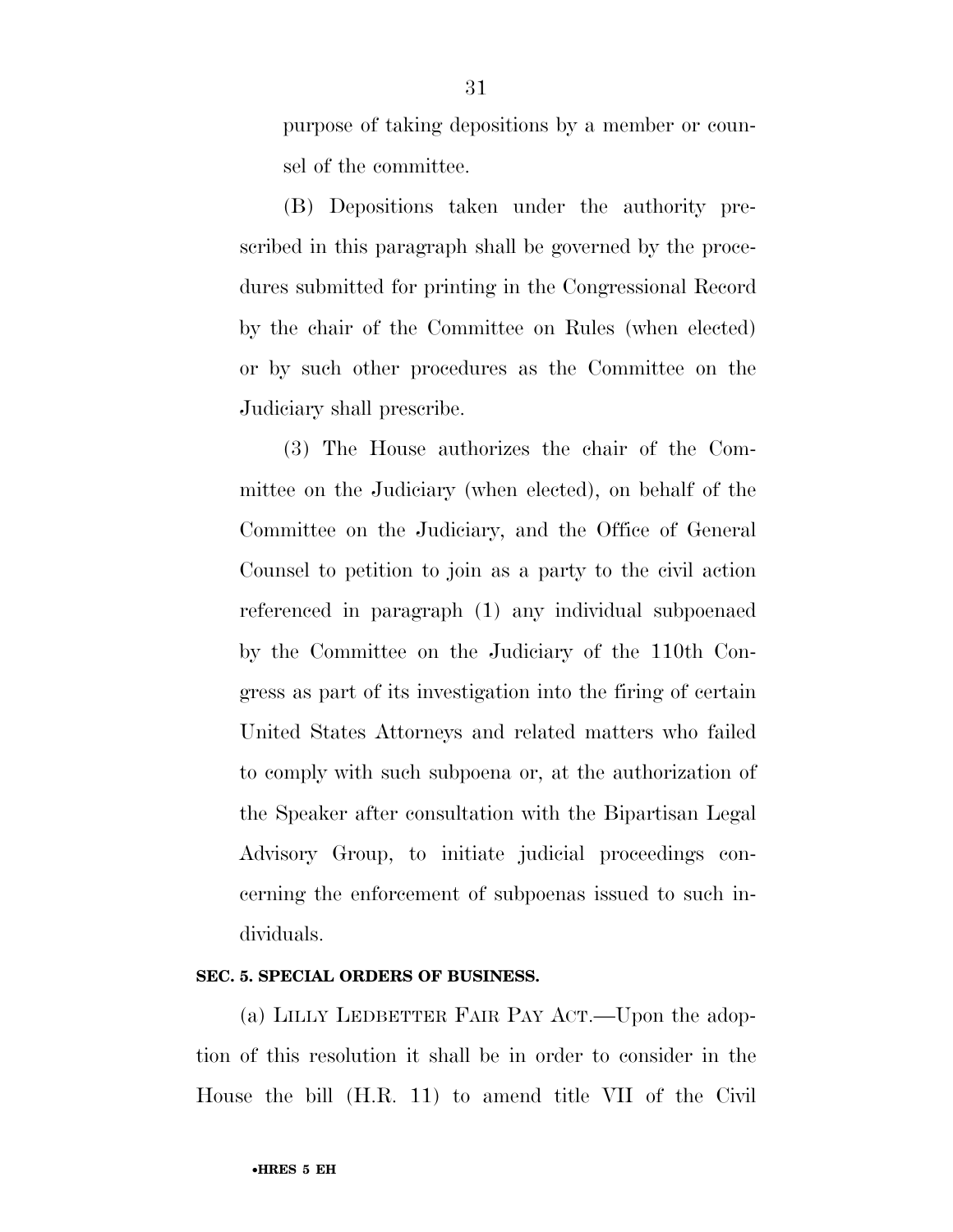purpose of taking depositions by a member or counsel of the committee.

(B) Depositions taken under the authority prescribed in this paragraph shall be governed by the procedures submitted for printing in the Congressional Record by the chair of the Committee on Rules (when elected) or by such other procedures as the Committee on the Judiciary shall prescribe.

(3) The House authorizes the chair of the Committee on the Judiciary (when elected), on behalf of the Committee on the Judiciary, and the Office of General Counsel to petition to join as a party to the civil action referenced in paragraph (1) any individual subpoenaed by the Committee on the Judiciary of the 110th Congress as part of its investigation into the firing of certain United States Attorneys and related matters who failed to comply with such subpoena or, at the authorization of the Speaker after consultation with the Bipartisan Legal Advisory Group, to initiate judicial proceedings concerning the enforcement of subpoenas issued to such individuals.

### **SEC. 5. SPECIAL ORDERS OF BUSINESS.**

(a) LILLY LEDBETTER FAIR PAY ACT.—Upon the adoption of this resolution it shall be in order to consider in the House the bill (H.R. 11) to amend title VII of the Civil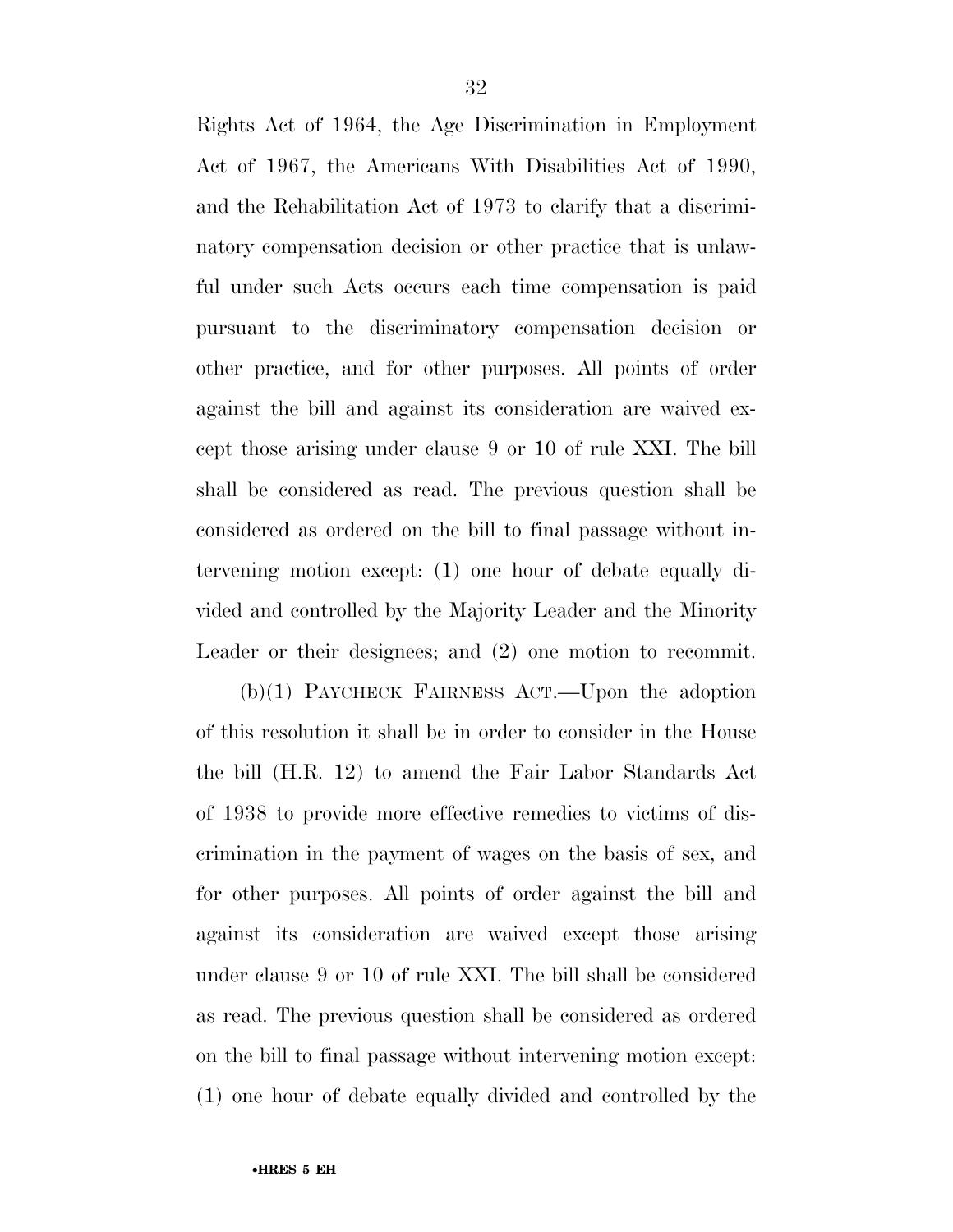Rights Act of 1964, the Age Discrimination in Employment Act of 1967, the Americans With Disabilities Act of 1990, and the Rehabilitation Act of 1973 to clarify that a discriminatory compensation decision or other practice that is unlawful under such Acts occurs each time compensation is paid pursuant to the discriminatory compensation decision or other practice, and for other purposes. All points of order against the bill and against its consideration are waived except those arising under clause 9 or 10 of rule XXI. The bill shall be considered as read. The previous question shall be considered as ordered on the bill to final passage without intervening motion except: (1) one hour of debate equally divided and controlled by the Majority Leader and the Minority Leader or their designees; and (2) one motion to recommit.

(b)(1) PAYCHECK FAIRNESS ACT.—Upon the adoption of this resolution it shall be in order to consider in the House the bill (H.R. 12) to amend the Fair Labor Standards Act of 1938 to provide more effective remedies to victims of discrimination in the payment of wages on the basis of sex, and for other purposes. All points of order against the bill and against its consideration are waived except those arising under clause 9 or 10 of rule XXI. The bill shall be considered as read. The previous question shall be considered as ordered on the bill to final passage without intervening motion except: (1) one hour of debate equally divided and controlled by the